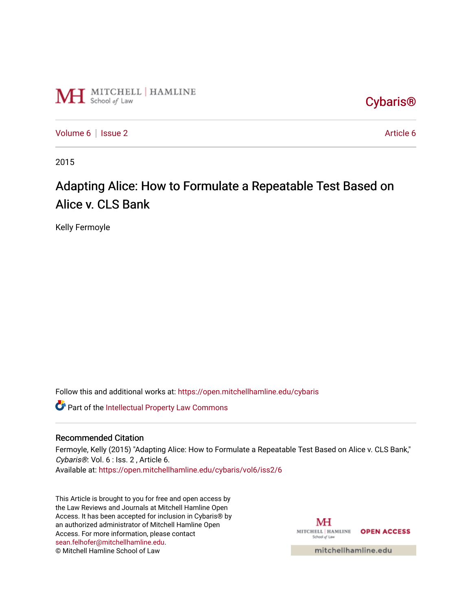

[Cybaris®](https://open.mitchellhamline.edu/cybaris) 

[Volume 6](https://open.mitchellhamline.edu/cybaris/vol6) | [Issue 2](https://open.mitchellhamline.edu/cybaris/vol6/iss2) [Article 6](https://open.mitchellhamline.edu/cybaris/vol6/iss2/6) | Article 6 | Article 6 | Article 6 | Article 6 | Article 6 | Article 6 | Article 6 | Article 6 | Article 6 | Article 6 | Article 6 | Article 6 | Article 6 | Article 6 | Article 6 | Article 6 |

2015

# Adapting Alice: How to Formulate a Repeatable Test Based on Alice v. CLS Bank

Kelly Fermoyle

Follow this and additional works at: [https://open.mitchellhamline.edu/cybaris](https://open.mitchellhamline.edu/cybaris?utm_source=open.mitchellhamline.edu%2Fcybaris%2Fvol6%2Fiss2%2F6&utm_medium=PDF&utm_campaign=PDFCoverPages) 

Part of the [Intellectual Property Law Commons](http://network.bepress.com/hgg/discipline/896?utm_source=open.mitchellhamline.edu%2Fcybaris%2Fvol6%2Fiss2%2F6&utm_medium=PDF&utm_campaign=PDFCoverPages) 

# Recommended Citation

Fermoyle, Kelly (2015) "Adapting Alice: How to Formulate a Repeatable Test Based on Alice v. CLS Bank," Cybaris®: Vol. 6 : Iss. 2 , Article 6.

Available at: [https://open.mitchellhamline.edu/cybaris/vol6/iss2/6](https://open.mitchellhamline.edu/cybaris/vol6/iss2/6?utm_source=open.mitchellhamline.edu%2Fcybaris%2Fvol6%2Fiss2%2F6&utm_medium=PDF&utm_campaign=PDFCoverPages)

This Article is brought to you for free and open access by the Law Reviews and Journals at Mitchell Hamline Open Access. It has been accepted for inclusion in Cybaris® by an authorized administrator of Mitchell Hamline Open Access. For more information, please contact [sean.felhofer@mitchellhamline.edu](mailto:sean.felhofer@mitchellhamline.edu). © Mitchell Hamline School of Law

MH MITCHELL | HAMLINE OPEN ACCESS School of Law

mitchellhamline.edu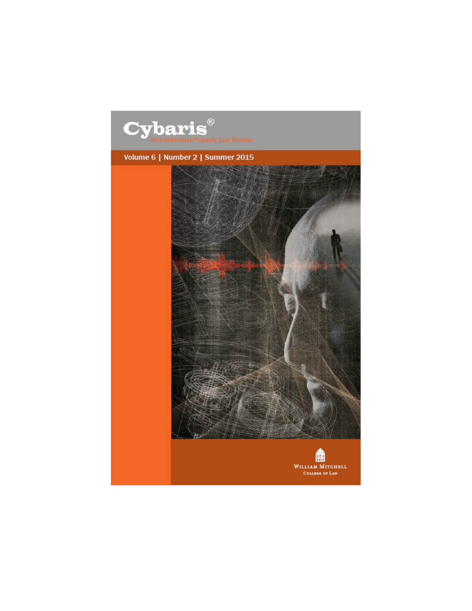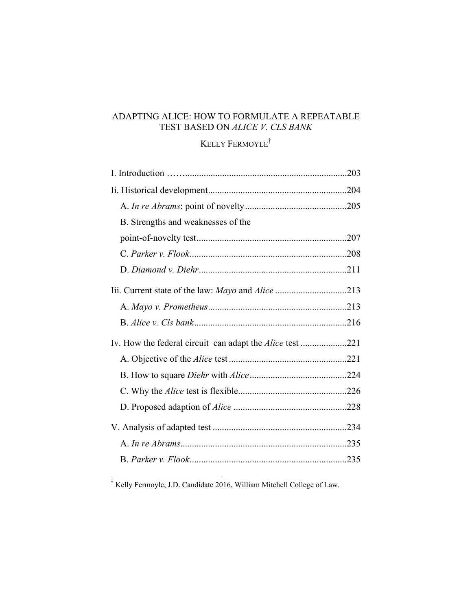# ADAPTING ALICE: HOW TO FORMULATE A REPEATABLE TEST BASED ON *ALICE V. CLS BANK*

# KELLY FERMOYLE†

| B. Strengths and weaknesses of the                              |  |
|-----------------------------------------------------------------|--|
|                                                                 |  |
|                                                                 |  |
|                                                                 |  |
|                                                                 |  |
|                                                                 |  |
|                                                                 |  |
| Iv. How the federal circuit can adapt the <i>Alice</i> test 221 |  |
|                                                                 |  |
|                                                                 |  |
|                                                                 |  |
|                                                                 |  |
|                                                                 |  |
|                                                                 |  |
|                                                                 |  |

† Kelly Fermoyle, J.D. Candidate 2016, William Mitchell College of Law.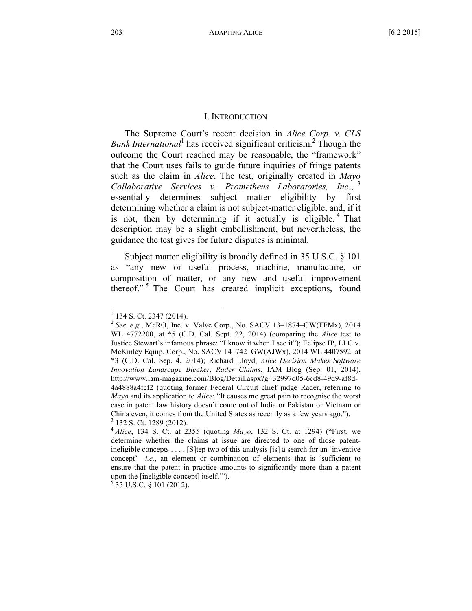#### I. INTRODUCTION

The Supreme Court's recent decision in *Alice Corp. v. CLS Bank International*<sup>1</sup> has received significant criticism.<sup>2</sup> Though the outcome the Court reached may be reasonable, the "framework" that the Court uses fails to guide future inquiries of fringe patents such as the claim in *Alice*. The test, originally created in *Mayo Collaborative Services v. Prometheus Laboratories, Inc.*, <sup>3</sup> essentially determines subject matter eligibility by first determining whether a claim is not subject-matter eligible, and, if it is not, then by determining if it actually is eligible.<sup>4</sup> That description may be a slight embellishment, but nevertheless, the guidance the test gives for future disputes is minimal.

Subject matter eligibility is broadly defined in 35 U.S.C. § 101 as "any new or useful process, machine, manufacture, or composition of matter, or any new and useful improvement thereof."<sup>5</sup> The Court has created implicit exceptions, found

<sup>1</sup> <sup>134</sup> S. Ct. <sup>2347</sup> (2014). <sup>2</sup> *See, e.g.*, McRO, Inc. v. Valve Corp., No. SACV 13–1874–GW(FFMx), <sup>2014</sup> WL 4772200, at \*5 (C.D. Cal. Sept. 22, 2014) (comparing the *Alice* test to Justice Stewart's infamous phrase: "I know it when I see it"); Eclipse IP, LLC v. McKinley Equip. Corp., No. SACV 14–742–GW(AJWx), 2014 WL 4407592, at \*3 (C.D. Cal. Sep. 4, 2014); Richard Lloyd, *Alice Decision Makes Software Innovation Landscape Bleaker, Rader Claims*, IAM Blog (Sep. 01, 2014), http://www.iam-magazine.com/Blog/Detail.aspx?g=32997d05-6cd8-49d9-af8d-4a4888a4fcf2 (quoting former Federal Circuit chief judge Rader, referring to *Mayo* and its application to *Alice*: "It causes me great pain to recognise the worst case in patent law history doesn't come out of India or Pakistan or Vietnam or China even, it comes from the United States as recently as <sup>a</sup> few years ago."). <sup>3</sup> <sup>132</sup> S. Ct. <sup>1289</sup> (2012). <sup>4</sup> *Alice*, <sup>134</sup> S. Ct. at <sup>2355</sup> (quoting *Mayo*, <sup>132</sup> S. Ct. at 1294) ("First, we

determine whether the claims at issue are directed to one of those patentineligible concepts . . . . [S]tep two of this analysis [is] a search for an 'inventive concept'—*i.e.*, an element or combination of elements that is 'sufficient to ensure that the patent in practice amounts to significantly more than a patent upon the [ineligible concept] itself."").  $5\,35\,$  U.S.C. § 101 (2012).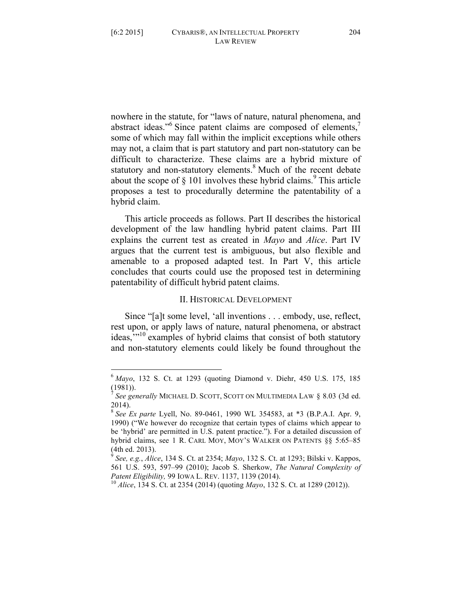nowhere in the statute, for "laws of nature, natural phenomena, and abstract ideas."<sup>6</sup> Since patent claims are composed of elements,<sup>7</sup> some of which may fall within the implicit exceptions while others may not, a claim that is part statutory and part non-statutory can be difficult to characterize. These claims are a hybrid mixture of statutory and non-statutory elements.<sup>8</sup> Much of the recent debate about the scope of  $\S$  101 involves these hybrid claims.<sup>9</sup> This article proposes a test to procedurally determine the patentability of a hybrid claim.

This article proceeds as follows. Part II describes the historical development of the law handling hybrid patent claims. Part III explains the current test as created in *Mayo* and *Alice*. Part IV argues that the current test is ambiguous, but also flexible and amenable to a proposed adapted test. In Part V, this article concludes that courts could use the proposed test in determining patentability of difficult hybrid patent claims.

#### II. HISTORICAL DEVELOPMENT

Since "[a]t some level, 'all inventions . . . embody, use, reflect, rest upon, or apply laws of nature, natural phenomena, or abstract ideas,"<sup>10</sup> examples of hybrid claims that consist of both statutory and non-statutory elements could likely be found throughout the

 <sup>6</sup> *Mayo*, <sup>132</sup> S. Ct. at <sup>1293</sup> (quoting Diamond v. Diehr, <sup>450</sup> U.S. 175, <sup>185</sup> (1981)).

<sup>7</sup> *See generally* MICHAEL D. SCOTT, SCOTT ON MULTIMEDIA LAW § 8.03 (3d ed. 2014).

<sup>8</sup> *See Ex parte* Lyell, No. 89-0461, 1990 WL 354583, at \*3 (B.P.A.I. Apr. 9, 1990) ("We however do recognize that certain types of claims which appear to be 'hybrid' are permitted in U.S. patent practice."). For a detailed discussion of hybrid claims, see 1 R. CARL MOY, MOY'S WALKER ON PATENTS §§ 5:65–85 (4th ed. 2013). <sup>9</sup> *See, e.g.*, *Alice*, <sup>134</sup> S. Ct. at 2354; *Mayo*, <sup>132</sup> S. Ct. at 1293; Bilski v. Kappos,

<sup>561</sup> U.S. 593, 597–99 (2010); Jacob S. Sherkow, *The Natural Complexity of Patent Eligibility,* 99 IOWA L. REV. 1137, 1139 (2014).<br><sup>10</sup> *Alice*, 134 S. Ct. at 2354 (2014) (quoting *Mayo*, 132 S. Ct. at 1289 (2012)).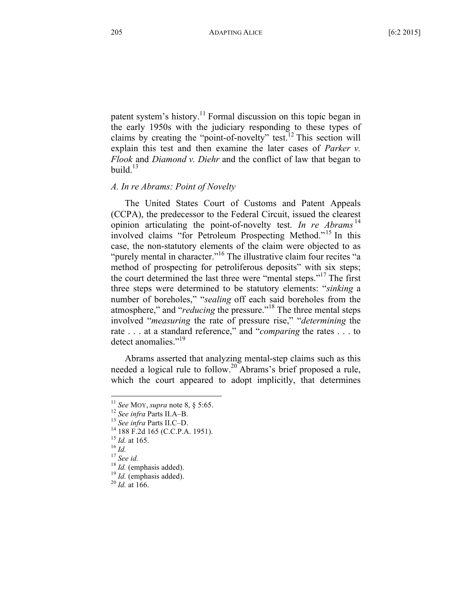patent system's history.<sup>11</sup> Formal discussion on this topic began in the early 1950s with the judiciary responding to these types of claims by creating the "point-of-novelty" test.<sup>12</sup> This section will explain this test and then examine the later cases of *Parker v. Flook* and *Diamond v. Diehr* and the conflict of law that began to build. $13$ 

# *A. In re Abrams: Point of Novelty*

The United States Court of Customs and Patent Appeals (CCPA), the predecessor to the Federal Circuit, issued the clearest opinion articulating the point-of-novelty test. *In re Abrams* <sup>14</sup> involved claims "for Petroleum Prospecting Method."<sup>15</sup> In this case, the non-statutory elements of the claim were objected to as "purely mental in character."<sup>16</sup> The illustrative claim four recites "a method of prospecting for petroliferous deposits" with six steps; the court determined the last three were "mental steps."<sup>17</sup> The first three steps were determined to be statutory elements: "*sinking* a number of boreholes," "*sealing* off each said boreholes from the atmosphere," and "*reducing* the pressure."<sup>18</sup> The three mental steps involved "*measuring* the rate of pressure rise," "*determining* the rate . . . at a standard reference," and "*comparing* the rates . . . to detect anomalies."<sup>19</sup>

Abrams asserted that analyzing mental-step claims such as this needed a logical rule to follow.20 Abrams's brief proposed a rule, which the court appeared to adopt implicitly, that determines

<sup>&</sup>lt;sup>11</sup> See MOY, supra note 8, § 5:65.<br><sup>12</sup> See infra Parts II.A–B.<br><sup>13</sup> See infra Parts II.C–D.<br><sup>14</sup> 188 F.2d 165 (C.C.P.A. 1951).<br><sup>15</sup> Id. at 165.<br><sup>17</sup> See id.<br><sup>17</sup> See id.<br><sup>18</sup> Id. (emphasis added).<br><sup>19</sup> Id. (emphasis add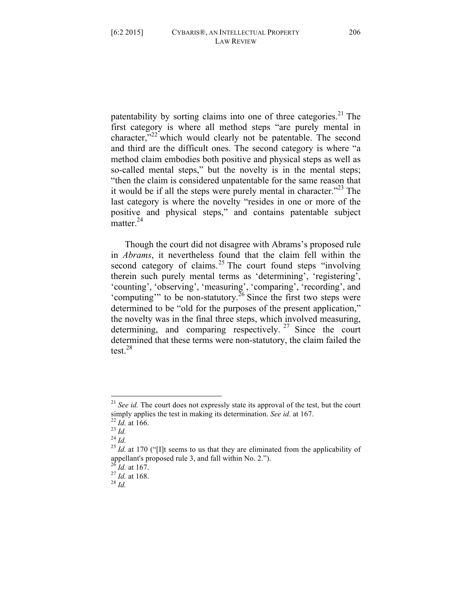patentability by sorting claims into one of three categories.<sup>21</sup> The first category is where all method steps "are purely mental in character," $^{22}$  which would clearly not be patentable. The second and third are the difficult ones. The second category is where "a method claim embodies both positive and physical steps as well as so-called mental steps," but the novelty is in the mental steps; "then the claim is considered unpatentable for the same reason that it would be if all the steps were purely mental in character. $123$  The last category is where the novelty "resides in one or more of the positive and physical steps," and contains patentable subject matter.<sup>24</sup>

Though the court did not disagree with Abrams's proposed rule in *Abrams*, it nevertheless found that the claim fell within the second category of claims.<sup>25</sup> The court found steps "involving" therein such purely mental terms as 'determining', 'registering', 'counting', 'observing', 'measuring', 'comparing', 'recording', and 'computing'" to be non-statutory.<sup>26</sup> Since the first two steps were determined to be "old for the purposes of the present application," the novelty was in the final three steps, which involved measuring, determining, and comparing respectively.<sup>27</sup> Since the court determined that these terms were non-statutory, the claim failed the test. $^{28}$ 

 <sup>21</sup> *See id.* The court does not expressly state its approval of the test, but the court simply applies the test in making its determination. *See id.* at 167.<br><sup>22</sup> *Id.* at 166.<br><sup>23</sup> *Id.* at 170 ("[I]t seems to us that they are eliminated from the applicability of  $\frac{25 \text{ } \text{ } Id.$  at 170 ("[I]t seems to us

appellant's proposed rule 3, and fall within No. 2.").<br><sup>26</sup> *Id.* at 167.<br><sup>27</sup> *Id.* at 168.<br><sup>28</sup> *Id*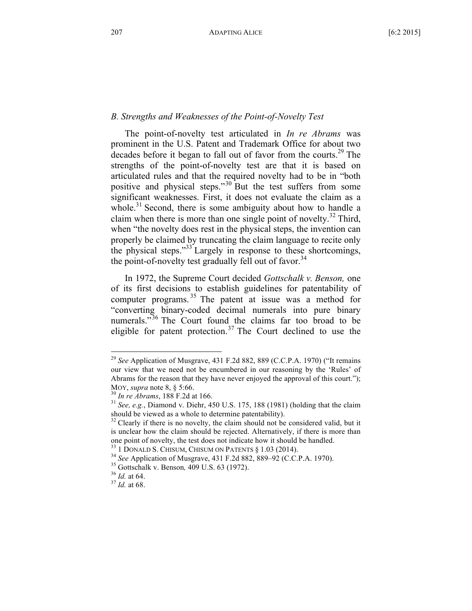# *B. Strengths and Weaknesses of the Point-of-Novelty Test*

The point-of-novelty test articulated in *In re Abrams* was prominent in the U.S. Patent and Trademark Office for about two decades before it began to fall out of favor from the courts.<sup>29</sup> The strengths of the point-of-novelty test are that it is based on articulated rules and that the required novelty had to be in "both positive and physical steps."<sup>30</sup> But the test suffers from some significant weaknesses. First, it does not evaluate the claim as a whole.<sup>31</sup> Second, there is some ambiguity about how to handle a claim when there is more than one single point of novelty.<sup>32</sup> Third, when "the novelty does rest in the physical steps, the invention can properly be claimed by truncating the claim language to recite only the physical steps."<sup>33</sup> Largely in response to these shortcomings, the point-of-novelty test gradually fell out of favor.<sup>34</sup>

In 1972, the Supreme Court decided *Gottschalk v. Benson,* one of its first decisions to establish guidelines for patentability of computer programs. <sup>35</sup> The patent at issue was a method for "converting binary-coded decimal numerals into pure binary numerals."<sup>36</sup> The Court found the claims far too broad to be eligible for patent protection.<sup>37</sup> The Court declined to use the

 <sup>29</sup> *See* Application of Musgrave, <sup>431</sup> F.2d 882, <sup>889</sup> (C.C.P.A. 1970) ("It remains our view that we need not be encumbered in our reasoning by the 'Rules' of Abrams for the reason that they have never enjoyed the approval of this court."); MOY, *supra* note 8, § 5:66.<br><sup>30</sup> *In re Abrams*, 188 F.2d at 166.<br><sup>31</sup> *See, e.g.*, Diamond v. Diehr, 450 U.S. 175, 188 (1981) (holding that the claim

should be viewed as a whole to determine patentability).<br><sup>32</sup> Clearly if there is no novelty, the claim should not be considered valid, but it

is unclear how the claim should be rejected. Alternatively, if there is more than one point of novelty, the test does not indicate how it should be handled.<br><sup>33</sup> 1 DONALD S. CHISUM, CHISUM ON PATENTS § 1.03 (2014).<br><sup>34</sup> See Application of Musgrave, 431 F.2d 882, 889–92 (C.C.P.A. 1970).<br><sup>35</sup> Gottschalk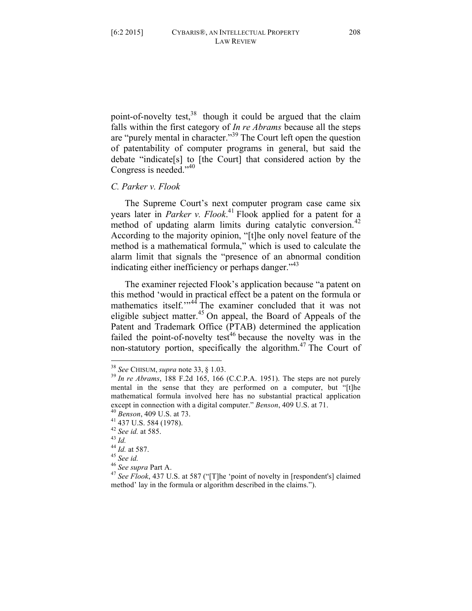point-of-novelty test, $38$  though it could be argued that the claim falls within the first category of *In re Abrams* because all the steps are "purely mental in character."<sup>39</sup> The Court left open the question of patentability of computer programs in general, but said the debate "indicate[s] to [the Court] that considered action by the Congress is needed."<sup>40</sup>

# *C. Parker v. Flook*

The Supreme Court's next computer program case came six years later in *Parker v. Flook*. <sup>41</sup> Flook applied for a patent for a method of updating alarm limits during catalytic conversion.<sup>42</sup> According to the majority opinion, "[t]he only novel feature of the method is a mathematical formula," which is used to calculate the alarm limit that signals the "presence of an abnormal condition indicating either inefficiency or perhaps danger. $143$ 

The examiner rejected Flook's application because "a patent on this method 'would in practical effect be a patent on the formula or mathematics itself."<sup>44</sup> The examiner concluded that it was not eligible subject matter.<sup>45</sup> On appeal, the Board of Appeals of the Patent and Trademark Office (PTAB) determined the application failed the point-of-novelty test<sup>46</sup> because the novelty was in the non-statutory portion, specifically the algorithm.<sup>47</sup> The Court of

<sup>38</sup> *See* CHISUM, *supra* note 33, § 1.03. <sup>39</sup> *In re Abrams*, <sup>188</sup> F.2d 165, <sup>166</sup> (C.C.P.A. 1951). The steps are not purely mental in the sense that they are performed on a computer, but "[t]he mathematical formula involved here has no substantial practical application except in connection with a digital computer." *Benson*, 409 U.S. at 71.<br>
<sup>40</sup> *Benson*, 409 U.S. at 73.<br>
<sup>41</sup> 437 U.S. 584 (1978).<br>
<sup>42</sup> *See id.* at 585.<br>
<sup>43</sup> *Id.*<br>
<sup>44</sup> *Id.* at 587.<br>
<sup>45</sup> *See id.*<br>
<sup>46</sup> *See id.*<br>

method' lay in the formula or algorithm described in the claims.").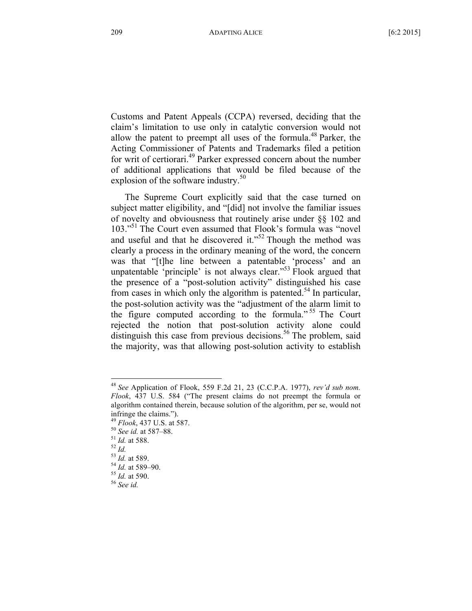Customs and Patent Appeals (CCPA) reversed, deciding that the claim's limitation to use only in catalytic conversion would not allow the patent to preempt all uses of the formula.<sup>48</sup> Parker, the Acting Commissioner of Patents and Trademarks filed a petition for writ of certiorari.<sup>49</sup> Parker expressed concern about the number of additional applications that would be filed because of the explosion of the software industry. $50$ 

The Supreme Court explicitly said that the case turned on subject matter eligibility, and "[did] not involve the familiar issues of novelty and obviousness that routinely arise under §§ 102 and 103."<sup>51</sup> The Court even assumed that Flook's formula was "novel" and useful and that he discovered it."<sup>52</sup> Though the method was clearly a process in the ordinary meaning of the word, the concern was that "[t]he line between a patentable 'process' and an unpatentable 'principle' is not always clear."<sup>53</sup> Flook argued that the presence of a "post-solution activity" distinguished his case from cases in which only the algorithm is patented.<sup>54</sup> In particular, the post-solution activity was the "adjustment of the alarm limit to the figure computed according to the formula." <sup>55</sup> The Court rejected the notion that post-solution activity alone could distinguish this case from previous decisions.<sup>56</sup> The problem, said the majority, was that allowing post-solution activity to establish

 <sup>48</sup> *See* Application of Flook, <sup>559</sup> F.2d 21, <sup>23</sup> (C.C.P.A. 1977), *rev'd sub nom. Flook*, 437 U.S. 584 ("The present claims do not preempt the formula or algorithm contained therein, because solution of the algorithm, per se, would not infringe the claims.").<br>
<sup>49</sup> *Flook*, 437 U.S. at 587.<br>
<sup>50</sup> *See id.* at 587–88.<br>
<sup>51</sup> *Id.* at 588.<br>
<sup>53</sup> *Id.* at 589.<br>
<sup>54</sup> *Id.* at 589–90.<br>
<sup>55</sup> *Id.* at 590.<br>
<sup>56</sup> *See id.*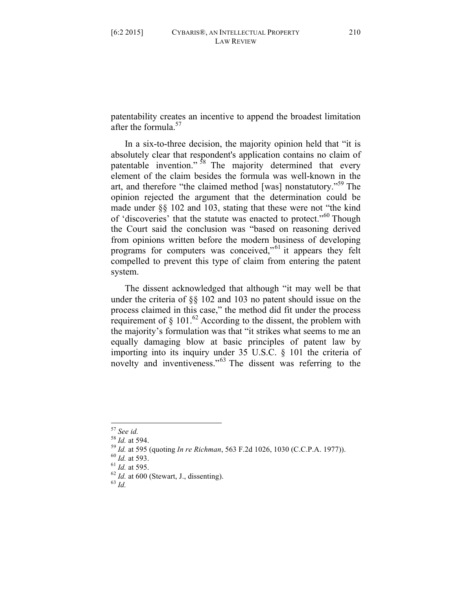patentability creates an incentive to append the broadest limitation after the formula. $57$ 

In a six-to-three decision, the majority opinion held that "it is absolutely clear that respondent's application contains no claim of patentable invention."<sup>58</sup> The majority determined that every element of the claim besides the formula was well-known in the art, and therefore "the claimed method [was] nonstatutory."<sup>59</sup> The opinion rejected the argument that the determination could be made under §§ 102 and 103, stating that these were not "the kind of 'discoveries' that the statute was enacted to protect."<sup>60</sup> Though the Court said the conclusion was "based on reasoning derived from opinions written before the modern business of developing programs for computers was conceived,"<sup>61</sup> it appears they felt compelled to prevent this type of claim from entering the patent system.

The dissent acknowledged that although "it may well be that under the criteria of §§ 102 and 103 no patent should issue on the process claimed in this case," the method did fit under the process requirement of  $\S$  101.<sup>62</sup> According to the dissent, the problem with the majority's formulation was that "it strikes what seems to me an equally damaging blow at basic principles of patent law by importing into its inquiry under 35 U.S.C. § 101 the criteria of novelty and inventiveness."<sup>63</sup> The dissent was referring to the

<sup>&</sup>lt;sup>57</sup> See id.<br>
<sup>58</sup> Id. at 594.<br>
<sup>59</sup> Id. at 595 (quoting *In re Richman*, 563 F.2d 1026, 1030 (C.C.P.A. 1977)).<br>
<sup>60</sup> Id. at 593.<br>
<sup>61</sup> Id. at 595.<br>
<sup>62</sup> Id. at 600 (Stewart, J., dissenting).<br>
<sup>63</sup> Id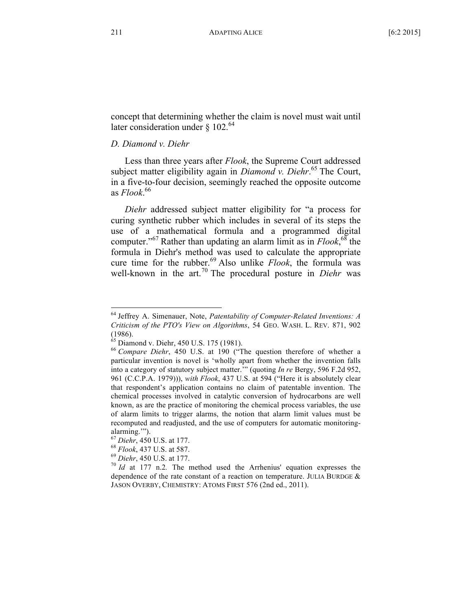concept that determining whether the claim is novel must wait until later consideration under  $\S$  102.<sup>64</sup>

# *D. Diamond v. Diehr*

Less than three years after *Flook*, the Supreme Court addressed subject matter eligibility again in *Diamond v. Diehr*. <sup>65</sup> The Court, in a five-to-four decision, seemingly reached the opposite outcome as *Flook*. 66

*Diehr* addressed subject matter eligibility for "a process for curing synthetic rubber which includes in several of its steps the use of a mathematical formula and a programmed digital computer."<sup>67</sup> Rather than updating an alarm limit as in *Flook*, <sup>68</sup> the formula in Diehr's method was used to calculate the appropriate cure time for the rubber.<sup>69</sup> Also unlike *Flook*, the formula was well-known in the art.<sup>70</sup> The procedural posture in *Diehr* was

 <sup>64</sup> Jeffrey A. Simenauer, Note, *Patentability of Computer-Related Inventions: <sup>A</sup> Criticism of the PTO's View on Algorithms*, 54 GEO. WASH. L. REV. 871, 902 (1986).<br><sup>65</sup> Diamond v. Diehr, 450 U.S. 175 (1981).

<sup>&</sup>lt;sup>66</sup> Compare Diehr, 450 U.S. at 190 ("The question therefore of whether a particular invention is novel is 'wholly apart from whether the invention falls into a category of statutory subject matter.'" (quoting *In re* Bergy, 596 F.2d 952, 961 (C.C.P.A. 1979))), *with Flook*, 437 U.S. at 594 ("Here it is absolutely clear that respondent's application contains no claim of patentable invention. The chemical processes involved in catalytic conversion of hydrocarbons are well known, as are the practice of monitoring the chemical process variables, the use of alarm limits to trigger alarms, the notion that alarm limit values must be recomputed and readjusted, and the use of computers for automatic monitoringalarming.'").

<sup>&</sup>lt;sup>67</sup> *Diehr*, 450 U.S. at 177.<br><sup>68</sup> *Flook*, 437 U.S. at 587.<br><sup>69</sup> *Diehr*, 450 U.S. at 177.<br><sup>70</sup> *Id* at 177 n.2. The method used the Arrhenius' equation expresses the dependence of the rate constant of a reaction on temperature. JULIA BURDGE & JASON OVERBY, CHEMISTRY: ATOMS FIRST 576 (2nd ed., 2011).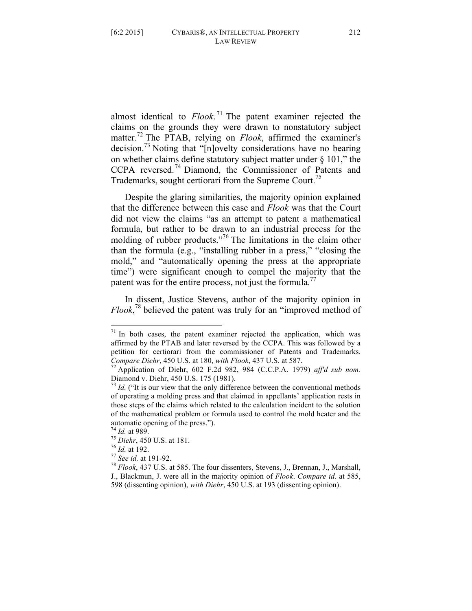almost identical to *Flook*. <sup>71</sup> The patent examiner rejected the claims on the grounds they were drawn to nonstatutory subject matter.72 The PTAB, relying on *Flook*, affirmed the examiner's decision.73 Noting that "[n]ovelty considerations have no bearing on whether claims define statutory subject matter under § 101," the CCPA reversed.<sup>74</sup> Diamond, the Commissioner of Patents and Trademarks, sought certiorari from the Supreme Court.<sup>75</sup>

Despite the glaring similarities, the majority opinion explained that the difference between this case and *Flook* was that the Court did not view the claims "as an attempt to patent a mathematical formula, but rather to be drawn to an industrial process for the molding of rubber products."<sup>76</sup> The limitations in the claim other than the formula (e.g., "installing rubber in a press," "closing the mold," and "automatically opening the press at the appropriate time") were significant enough to compel the majority that the patent was for the entire process, not just the formula.<sup>77</sup>

In dissent, Justice Stevens, author of the majority opinion in *Flook*, <sup>78</sup> believed the patent was truly for an "improved method of

 $71$  In both cases, the patent examiner rejected the application, which was affirmed by the PTAB and later reversed by the CCPA. This was followed by a petition for certiorari from the commissioner of Patents and Trademarks.

*Compare Diehr*, 450 U.S. at 180, *with Flook*, 437 U.S. at 587.<br><sup>72</sup> Application of Diehr, 602 F.2d 982, 984 (C.C.P.A. 1979) *aff'd sub nom.*<br>Diamond v. Diehr, 450 U.S. 175 (1981).

 $^{73}$  *Id.* ("It is our view that the only difference between the conventional methods of operating a molding press and that claimed in appellants' application rests in those steps of the claims which related to the calculation incident to the solution of the mathematical problem or formula used to control the mold heater and the automatic opening of the press.").<br>
<sup>74</sup> *Id.* at 989.<br>
<sup>75</sup> *Diehr*, 450 U.S. at 181.<br>
<sup>76</sup> *Id.* at 192.<br>
<sup>77</sup> *See id.* at 191-92.<br>
<sup>77</sup> *See id.* at 191-92.<br>
<sup>78</sup> *Flook*, 437 U.S. at 585. The four dissenters, Stevens

J., Blackmun, J. were all in the majority opinion of *Flook*. *Compare id.* at 585, 598 (dissenting opinion), *with Diehr*, 450 U.S. at 193 (dissenting opinion).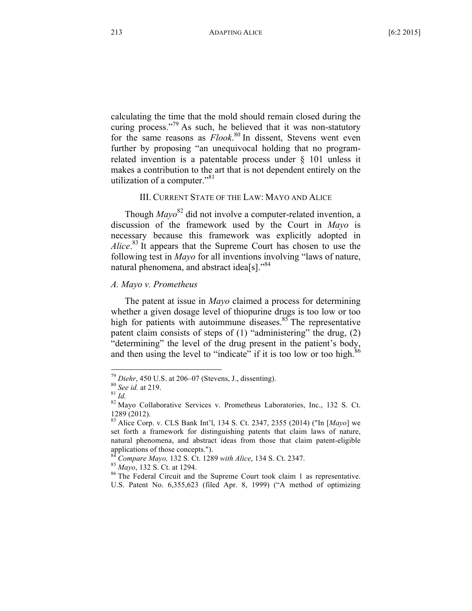calculating the time that the mold should remain closed during the curing process."79 As such, he believed that it was non-statutory for the same reasons as *Flook*.<sup>80</sup> In dissent, Stevens went even further by proposing "an unequivocal holding that no programrelated invention is a patentable process under § 101 unless it makes a contribution to the art that is not dependent entirely on the utilization of a computer."<sup>81</sup>

# III. CURRENT STATE OF THE LAW: MAYO AND ALICE

Though *Mayo*<sup>82</sup> did not involve a computer-related invention, a discussion of the framework used by the Court in *Mayo* is necessary because this framework was explicitly adopted in *Alice*. <sup>83</sup> It appears that the Supreme Court has chosen to use the following test in *Mayo* for all inventions involving "laws of nature, natural phenomena, and abstract idea[s]."<sup>84</sup>

# *A. Mayo v. Prometheus*

The patent at issue in *Mayo* claimed a process for determining whether a given dosage level of thiopurine drugs is too low or too high for patients with autoimmune diseases. $85$  The representative patent claim consists of steps of (1) "administering" the drug, (2) "determining" the level of the drug present in the patient's body, and then using the level to "indicate" if it is too low or too high.<sup>86</sup>

<sup>&</sup>lt;sup>79</sup> *Diehr*, 450 U.S. at 206–07 (Stevens, J., dissenting).<br><sup>80</sup> *See id.* at 219.<br><sup>81</sup> *Id.* 82 Mayo Collaborative Services v. Prometheus Laboratories, Inc., 132 S. Ct. <sup>1289</sup> (2012). <sup>83</sup> Alice Corp. v. CLS Bank Int'l, <sup>134</sup> S. Ct. 2347, <sup>2355</sup> (2014) ("In [*Mayo*] we

set forth a framework for distinguishing patents that claim laws of nature, natural phenomena, and abstract ideas from those that claim patent-eligible applications of those concepts.").<br>
<sup>84</sup> Compare Mayo, 132 S. Ct. 1289 with Alice, 134 S. Ct. 2347.<br>
<sup>85</sup> Mayo, 132 S. Ct. at 1294.<br>
<sup>86</sup> The Federal Circuit and the Supreme Court took claim 1 as representative.

U.S. Patent No. 6,355,623 (filed Apr. 8, 1999) ("A method of optimizing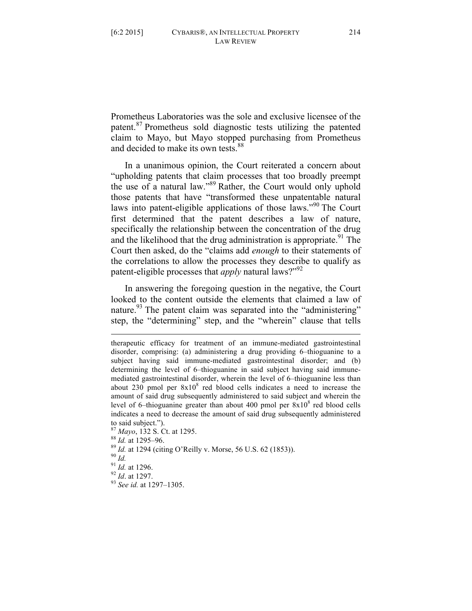Prometheus Laboratories was the sole and exclusive licensee of the patent.<sup>87</sup> Prometheus sold diagnostic tests utilizing the patented claim to Mayo, but Mayo stopped purchasing from Prometheus and decided to make its own tests.<sup>88</sup>

In a unanimous opinion, the Court reiterated a concern about "upholding patents that claim processes that too broadly preempt the use of a natural law."<sup>89</sup> Rather, the Court would only uphold those patents that have "transformed these unpatentable natural laws into patent-eligible applications of those laws."<sup>90</sup> The Court first determined that the patent describes a law of nature, specifically the relationship between the concentration of the drug and the likelihood that the drug administration is appropriate.<sup>91</sup> The Court then asked, do the "claims add *enough* to their statements of the correlations to allow the processes they describe to qualify as patent-eligible processes that *apply* natural laws?"<sup>92</sup>

In answering the foregoing question in the negative, the Court looked to the content outside the elements that claimed a law of nature.<sup>93</sup> The patent claim was separated into the "administering" step, the "determining" step, and the "wherein" clause that tells

to said subject.").<br>
<sup>87</sup> Mayo, 132 S. Ct. at 1295.<br>
<sup>88</sup> Id. at 1295–96.<br>
<sup>89</sup> Id. at 1294 (citing O'Reilly v. Morse, 56 U.S. 62 (1853)).<br>
<sup>90</sup> Id.<br>
<sup>91</sup> Id. at 1296.<br>
<sup>92</sup> Id. at 1297.<br>
<sup>93</sup> See id. at 1297–1305.

 $\overline{a}$ 

- 
- 
- 

therapeutic efficacy for treatment of an immune-mediated gastrointestinal disorder, comprising: (a) administering a drug providing 6–thioguanine to a subject having said immune-mediated gastrointestinal disorder; and (b) determining the level of 6–thioguanine in said subject having said immunemediated gastrointestinal disorder, wherein the level of 6–thioguanine less than about 230 pmol per  $8x10<sup>8</sup>$  red blood cells indicates a need to increase the amount of said drug subsequently administered to said subject and wherein the level of 6–thioguanine greater than about 400 pmol per  $8x10<sup>8</sup>$  red blood cells indicates a need to decrease the amount of said drug subsequently administered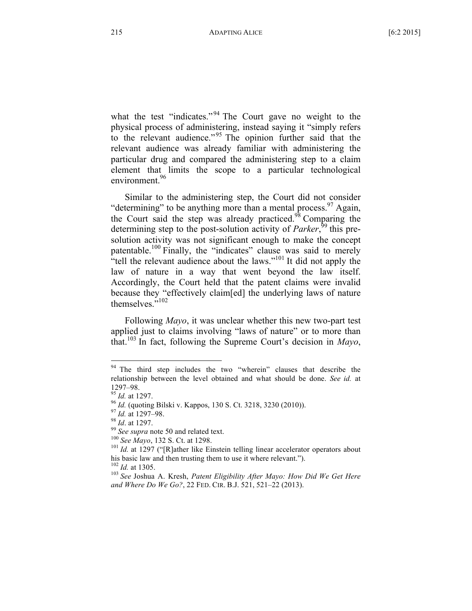what the test "indicates."<sup>94</sup> The Court gave no weight to the physical process of administering, instead saying it "simply refers to the relevant audience."<sup>95</sup> The opinion further said that the relevant audience was already familiar with administering the particular drug and compared the administering step to a claim element that limits the scope to a particular technological environment<sup>96</sup>

Similar to the administering step, the Court did not consider "determining" to be anything more than a mental process. $97$  Again, the Court said the step was already practiced.<sup>98</sup> Comparing the determining step to the post-solution activity of *Parker*,<sup>99</sup> this presolution activity was not significant enough to make the concept patentable.<sup>100</sup> Finally, the "indicates" clause was said to merely "tell the relevant audience about the laws."<sup>101</sup> It did not apply the law of nature in a way that went beyond the law itself. Accordingly, the Court held that the patent claims were invalid because they "effectively claim[ed] the underlying laws of nature themselves."<sup>102</sup>

Following *Mayo*, it was unclear whether this new two-part test applied just to claims involving "laws of nature" or to more than that.103 In fact, following the Supreme Court's decision in *Mayo*,

<sup>&</sup>lt;sup>94</sup> The third step includes the two "wherein" clauses that describe the relationship between the level obtained and what should be done. *See id.* at 1297–98.<br><sup>95</sup> *Id.* at 1297.<br><sup>96</sup> *Id.* (quoting Bilski v. Kappos, 130 S. Ct. 3218, 3230 (2010)).<br><sup>97</sup> *Id.* at 1297–98.<br><sup>98</sup> *Id.* at 1297.<br><sup>99</sup> *See supra* note 50 and related text.<br><sup>100</sup> *See Mayo*, 132 S. Ct. at 1298.

his basic law and then trusting them to use it where relevant.").<br><sup>102</sup> Id. at 1305.<br><sup>103</sup> See Joshua A. Kresh, *Patent Eligibility After Mayo: How Did We Get Here* 

*and Where Do We Go?*, 22 FED. CIR. B.J. 521, 521–22 (2013).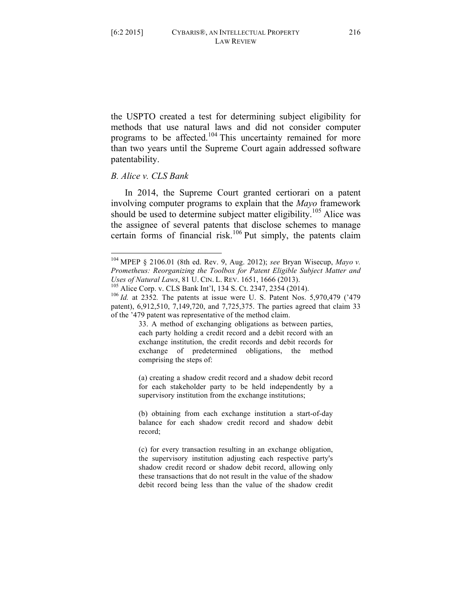the USPTO created a test for determining subject eligibility for methods that use natural laws and did not consider computer programs to be affected.<sup>104</sup> This uncertainty remained for more than two years until the Supreme Court again addressed software patentability.

# *B. Alice v. CLS Bank*

In 2014, the Supreme Court granted certiorari on a patent involving computer programs to explain that the *Mayo* framework should be used to determine subject matter eligibility.<sup>105</sup> Alice was the assignee of several patents that disclose schemes to manage certain forms of financial risk.<sup>106</sup> Put simply, the patents claim

33. A method of exchanging obligations as between parties, each party holding a credit record and a debit record with an exchange institution, the credit records and debit records for exchange of predetermined obligations, the method comprising the steps of:

(a) creating a shadow credit record and a shadow debit record for each stakeholder party to be held independently by a supervisory institution from the exchange institutions;

(b) obtaining from each exchange institution a start-of-day balance for each shadow credit record and shadow debit record;

 <sup>104</sup> MPEP § 2106.01 (8th ed. Rev. 9, Aug. 2012); *see* Bryan Wisecup, *Mayo v. Prometheus: Reorganizing the Toolbox for Patent Eligible Subject Matter and Uses of Natural Laws*, 81 U. CIN. L. REV. 1651, 1666 (2013).<br><sup>105</sup> Alice Corp. v. CLS Bank Int'l, 134 S. Ct. 2347, 2354 (2014).<br><sup>106</sup> Id. at 2352. The patents at issue were U. S. Patent Nos. 5,970,479 ('479

patent), 6,912,510, 7,149,720, and 7,725,375. The parties agreed that claim 33 of the '479 patent was representative of the method claim.

<sup>(</sup>c) for every transaction resulting in an exchange obligation, the supervisory institution adjusting each respective party's shadow credit record or shadow debit record, allowing only these transactions that do not result in the value of the shadow debit record being less than the value of the shadow credit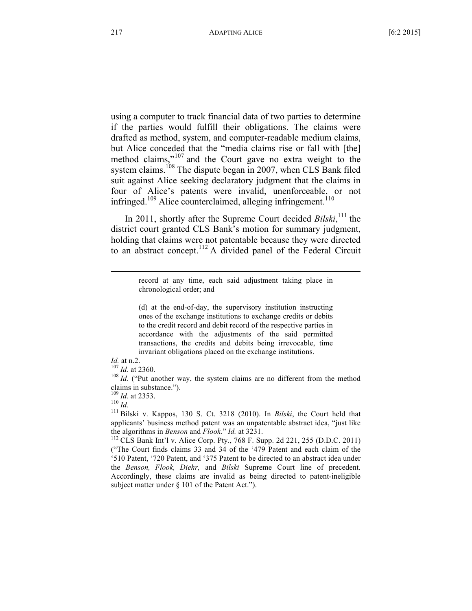using a computer to track financial data of two parties to determine if the parties would fulfill their obligations. The claims were drafted as method, system, and computer-readable medium claims, but Alice conceded that the "media claims rise or fall with [the] method claims,"<sup>107</sup> and the Court gave no extra weight to the system claims.<sup>108</sup> The dispute began in 2007, when CLS Bank filed suit against Alice seeking declaratory judgment that the claims in four of Alice's patents were invalid, unenforceable, or not infringed.<sup>109</sup> Alice counterclaimed, alleging infringement.<sup>110</sup>

In 2011, shortly after the Supreme Court decided *Bilski*,<sup>111</sup> the district court granted CLS Bank's motion for summary judgment, holding that claims were not patentable because they were directed to an abstract concept.<sup>112</sup> A divided panel of the Federal Circuit

> record at any time, each said adjustment taking place in chronological order; and

> (d) at the end-of-day, the supervisory institution instructing ones of the exchange institutions to exchange credits or debits to the credit record and debit record of the respective parties in accordance with the adjustments of the said permitted transactions, the credits and debits being irrevocable, time invariant obligations placed on the exchange institutions.

*Id.* at n.2. <sup>107</sup> *Id.* at 2360. <sup>108</sup> *Id.* ("Put another way, the system claims are no different from the method claims in substance.").

claims in substance."). <sup>109</sup> *Id.* at 2353. <sup>110</sup> *Id.* <sup>111</sup> Bilski v. Kappos, <sup>130</sup> S. Ct. <sup>3218</sup> (2010). In *Bilski*, the Court held that applicants' business method patent was an unpatentable abstract idea, "just like the algorithms in *Benson* and *Flook.*" *Id.* at 3231.<br><sup>112</sup> CLS Bank Int'l v. Alice Corp. Pty., 768 F. Supp. 2d 221, 255 (D.D.C. 2011)

("The Court finds claims 33 and 34 of the '479 Patent and each claim of the '510 Patent, '720 Patent, and '375 Patent to be directed to an abstract idea under the *Benson, Flook, Diehr,* and *Bilski* Supreme Court line of precedent. Accordingly, these claims are invalid as being directed to patent-ineligible subject matter under § 101 of the Patent Act.").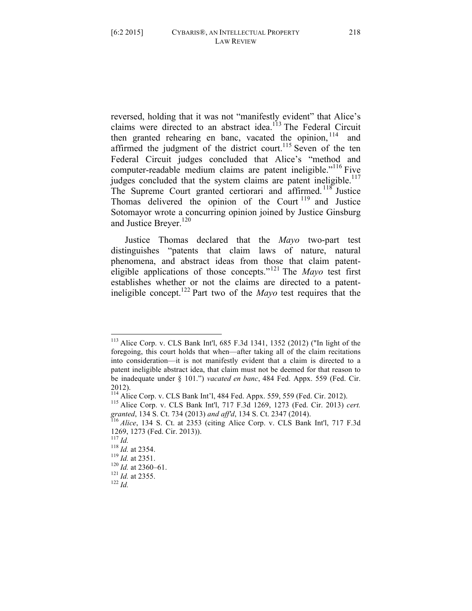reversed, holding that it was not "manifestly evident" that Alice's claims were directed to an abstract idea.<sup>113</sup> The Federal Circuit then granted rehearing en banc, vacated the opinion,  $114$  and affirmed the judgment of the district court.<sup>115</sup> Seven of the ten Federal Circuit judges concluded that Alice's "method and computer-readable medium claims are patent ineligible."<sup>116</sup> Five judges concluded that the system claims are patent ineligible.<sup>117</sup> The Supreme Court granted certiorari and affirmed.<sup>118</sup> Justice Thomas delivered the opinion of the Court  $119$  and Justice Sotomayor wrote a concurring opinion joined by Justice Ginsburg and Justice Breyer.<sup>120</sup>

Justice Thomas declared that the *Mayo* two-part test distinguishes "patents that claim laws of nature, natural phenomena, and abstract ideas from those that claim patenteligible applications of those concepts."<sup>121</sup> The *Mayo* test first establishes whether or not the claims are directed to a patentineligible concept.122 Part two of the *Mayo* test requires that the

 <sup>113</sup> Alice Corp. v. CLS Bank Int'l, <sup>685</sup> F.3d 1341, <sup>1352</sup> (2012) ("In light of the foregoing, this court holds that when—after taking all of the claim recitations into consideration—it is not manifestly evident that a claim is directed to a patent ineligible abstract idea, that claim must not be deemed for that reason to be inadequate under § 101.") *vacated en banc*, 484 Fed. Appx. 559 (Fed. Cir.

<sup>2012).&</sup>lt;br><sup>114</sup> Alice Corp. v. CLS Bank Int'l, 484 Fed. Appx. 559, 559 (Fed. Cir. 2012).

<sup>&</sup>lt;sup>115</sup> Alice Corp. v. CLS Bank Int<sup>'</sup>l, 717 F.3d 1269, 1273 (Fed. Cir. 2013) cert. *granted*, <sup>134</sup> S. Ct. <sup>734</sup> (2013) *and aff'd*, <sup>134</sup> S. Ct. <sup>2347</sup> (2014). <sup>116</sup> *Alice*, <sup>134</sup> S. Ct. at <sup>2353</sup> (citing Alice Corp. v. CLS Bank Int'l, <sup>717</sup> F.3d

<sup>1269, 1273 (</sup>Fed. Cir. 2013)).<br><sup>117</sup> *Id.*<br><sup>118</sup> *Id.* at 2354.<br><sup>120</sup> *Id.* at 2351.<br><sup>121</sup> *Id.* at 2360–61.<br><sup>121</sup> *Id.* at 2355.<br><sup>122</sup> *Id*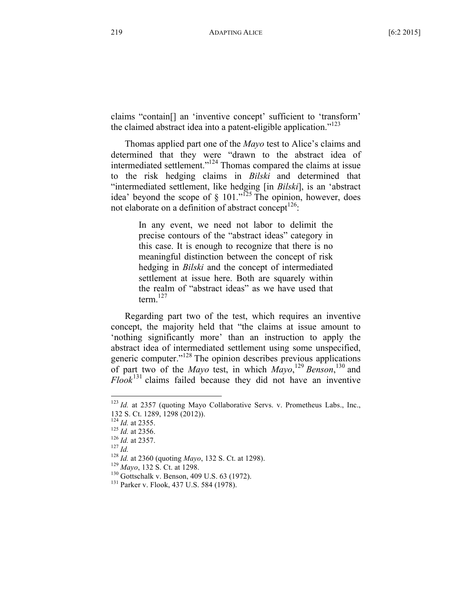claims "contain[] an 'inventive concept' sufficient to 'transform' the claimed abstract idea into a patent-eligible application."<sup>123</sup>

Thomas applied part one of the *Mayo* test to Alice's claims and determined that they were "drawn to the abstract idea of intermediated settlement."124 Thomas compared the claims at issue to the risk hedging claims in *Bilski* and determined that "intermediated settlement, like hedging [in *Bilski*], is an 'abstract idea' beyond the scope of  $\S$  101."<sup>125</sup> The opinion, however, does not elaborate on a definition of abstract concept<sup>126</sup>:

> In any event, we need not labor to delimit the precise contours of the "abstract ideas" category in this case. It is enough to recognize that there is no meaningful distinction between the concept of risk hedging in *Bilski* and the concept of intermediated settlement at issue here. Both are squarely within the realm of "abstract ideas" as we have used that term. $127$

Regarding part two of the test, which requires an inventive concept, the majority held that "the claims at issue amount to 'nothing significantly more' than an instruction to apply the abstract idea of intermediated settlement using some unspecified, generic computer."<sup>128</sup> The opinion describes previous applications of part two of the *Mayo* test, in which *Mayo*, <sup>129</sup> *Benson*, <sup>130</sup> and *Flook*<sup>131</sup> claims failed because they did not have an inventive

 $123$  *Id.* at 2357 (quoting Mayo Collaborative Servs. v. Prometheus Labs., Inc., 132 S. Ct. 1289, 1298 (2012)).

<sup>&</sup>lt;sup>124</sup> *Id.* at 2355.<br>
<sup>125</sup> *Id.* at 2356.<br>
<sup>126</sup> *Id.* at 2357.<br>
<sup>127</sup> *Id.*<br>
<sup>128</sup> *Id.* at 2360 (quoting *Mayo*, 132 S. Ct. at 1298).<br>
<sup>129</sup> *Mayo*, 132 S. Ct. at 1298.<br>
<sup>130</sup> Gottschalk v. Benson, 409 U.S. 63 (1972).<br>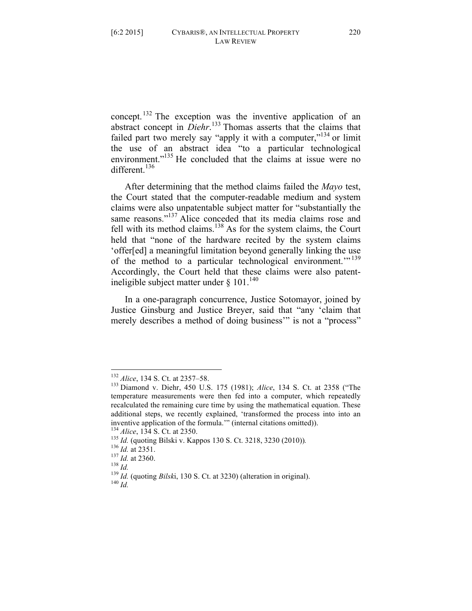concept.<sup>132</sup> The exception was the inventive application of an abstract concept in *Diehr*. <sup>133</sup> Thomas asserts that the claims that failed part two merely say "apply it with a computer,"<sup>134</sup> or limit the use of an abstract idea "to a particular technological environment."<sup>135</sup> He concluded that the claims at issue were no different.<sup>136</sup>

After determining that the method claims failed the *Mayo* test, the Court stated that the computer-readable medium and system claims were also unpatentable subject matter for "substantially the same reasons."<sup>137</sup> Alice conceded that its media claims rose and fell with its method claims.<sup>138</sup> As for the system claims, the Court held that "none of the hardware recited by the system claims 'offer[ed] a meaningful limitation beyond generally linking the use of the method to a particular technological environment."<sup>139</sup> Accordingly, the Court held that these claims were also patentineligible subject matter under  $\delta$  101.<sup>140</sup>

In a one-paragraph concurrence, Justice Sotomayor, joined by Justice Ginsburg and Justice Breyer, said that "any 'claim that merely describes a method of doing business" is not a "process"

<sup>132</sup> *Alice*, 134 S. Ct. at 2357–58.<br><sup>133</sup> Diamond v. Diehr, 450 U.S. 175 (1981); *Alice*, 134 S. Ct. at 2358 ("The temperature measurements were then fed into a computer, which repeatedly recalculated the remaining cure time by using the mathematical equation. These additional steps, we recently explained, 'transformed the process into into an inventive application of the formula." (internal citations omitted)).<br>
<sup>134</sup> *Alice*, 134 S. Ct. at 2350.<br>
<sup>135</sup> *Id.* (quoting Bilski v. Kappos 130 S. Ct. 3218, 3230 (2010)).<br>
<sup>136</sup> *Id.* at 2351.<br>
<sup>137</sup> *Id.* at 2360.<br>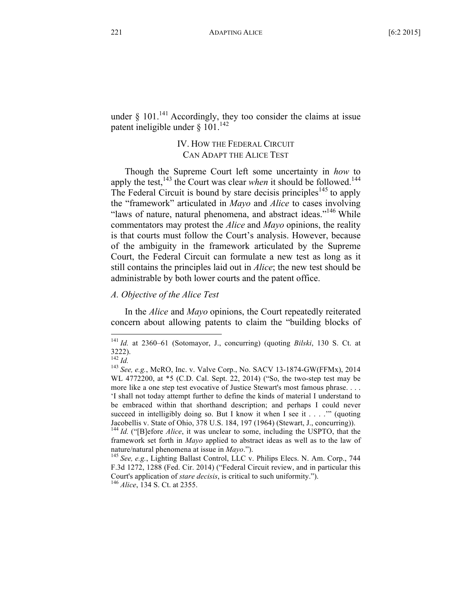under  $§$  101.<sup>141</sup> Accordingly, they too consider the claims at issue patent ineligible under § 101.<sup>142</sup>

# IV. HOW THE FEDERAL CIRCUIT CAN ADAPT THE ALICE TEST

Though the Supreme Court left some uncertainty in *how* to apply the test,<sup>143</sup> the Court was clear *when* it should be followed.<sup>144</sup> The Federal Circuit is bound by stare decisis principles<sup>145</sup> to apply the "framework" articulated in *Mayo* and *Alice* to cases involving "laws of nature, natural phenomena, and abstract ideas."<sup>146</sup> While commentators may protest the *Alice* and *Mayo* opinions, the reality is that courts must follow the Court's analysis. However, because of the ambiguity in the framework articulated by the Supreme Court, the Federal Circuit can formulate a new test as long as it still contains the principles laid out in *Alice*; the new test should be administrable by both lower courts and the patent office.

## *A. Objective of the Alice Test*

In the *Alice* and *Mayo* opinions, the Court repeatedly reiterated concern about allowing patents to claim the "building blocks of

 <sup>141</sup> *Id.* at 2360–61 (Sotomayor, J., concurring) (quoting *Bilski*, <sup>130</sup> S. Ct. at  $3222$ ).<br> $^{142}$  *Id.* 

<sup>142</sup> *Id.* <sup>143</sup> *See, e.g.*, McRO, Inc. v. Valve Corp., No. SACV 13-1874-GW(FFMx), <sup>2014</sup> WL 4772200, at \*5 (C.D. Cal. Sept. 22, 2014) ("So, the two-step test may be more like a one step test evocative of Justice Stewart's most famous phrase. . . . 'I shall not today attempt further to define the kinds of material I understand to be embraced within that shorthand description; and perhaps I could never succeed in intelligibly doing so. But I know it when I see it  $\dots$  " (quoting Jacobellis v. State of Ohio, <sup>378</sup> U.S. 184, <sup>197</sup> (1964) (Stewart, J., concurring)). <sup>144</sup> *Id.* ("[B]efore *Alice*, it was unclear to some, including the USPTO, that the

framework set forth in *Mayo* applied to abstract ideas as well as to the law of nature/natural phenomena at issue in *Mayo*.").<br><sup>145</sup> *See, e.g.*, Lighting Ballast Control, LLC v. Philips Elecs. N. Am. Corp., 744

F.3d 1272, 1288 (Fed. Cir. 2014) ("Federal Circuit review, and in particular this Court's application of *stare decisis*, is critical to such uniformity."). 146 *Alice*, <sup>134</sup> S. Ct. at 2355.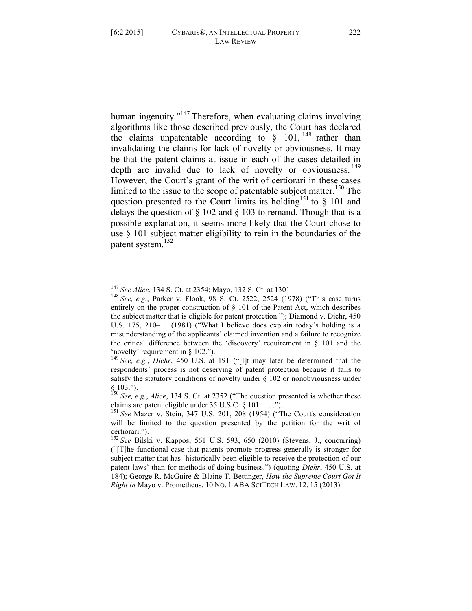human ingenuity."<sup>147</sup> Therefore, when evaluating claims involving algorithms like those described previously, the Court has declared the claims unpatentable according to § 101, <sup>148</sup> rather than invalidating the claims for lack of novelty or obviousness. It may be that the patent claims at issue in each of the cases detailed in depth are invalid due to lack of novelty or obviousness.<sup>149</sup> However, the Court's grant of the writ of certiorari in these cases limited to the issue to the scope of patentable subject matter.<sup>150</sup> The question presented to the Court limits its holding<sup>151</sup> to  $\S$  101 and delays the question of  $\S$  102 and  $\S$  103 to remand. Though that is a possible explanation, it seems more likely that the Court chose to use § 101 subject matter eligibility to rein in the boundaries of the patent system.<sup>152</sup>

<sup>&</sup>lt;sup>147</sup> *See Alice*, 134 S. Ct. at 2354; Mayo, 132 S. Ct. at 1301.<br><sup>148</sup> *See, e.g.*, Parker v. Flook, 98 S. Ct. 2522, 2524 (1978) ("This case turns entirely on the proper construction of § 101 of the Patent Act, which describes the subject matter that is eligible for patent protection."); Diamond v. Diehr, 450 U.S. 175, 210–11 (1981) ("What I believe does explain today's holding is a misunderstanding of the applicants' claimed invention and a failure to recognize the critical difference between the 'discovery' requirement in § 101 and the 'novelty' requirement in § 102."). <sup>149</sup> *See, e.g.*, *Diehr*, <sup>450</sup> U.S. at <sup>191</sup> ("[I]t may later be determined that the

respondents' process is not deserving of patent protection because it fails to satisfy the statutory conditions of novelty under  $\S$  102 or nonobviousness under

<sup>§</sup> 103."). <sup>150</sup> *See, e.g.*, *Alice*, <sup>134</sup> S. Ct. at <sup>2352</sup> ("The question presented is whether these

<sup>&</sup>lt;sup>151</sup> See Mazer v. Stein, 347 U.S. 201, 208 (1954) ("The Court's consideration will be limited to the question presented by the petition for the writ of certiorari.").

<sup>152</sup> *See* Bilski v. Kappos, 561 U.S. 593, 650 (2010) (Stevens, J., concurring) ("[T]he functional case that patents promote progress generally is stronger for subject matter that has 'historically been eligible to receive the protection of our patent laws' than for methods of doing business.") (quoting *Diehr*, 450 U.S. at 184); George R. McGuire & Blaine T. Bettinger, *How the Supreme Court Got It Right in* Mayo v. Prometheus, 10 NO. 1 ABA SCITECH LAW. 12, 15 (2013).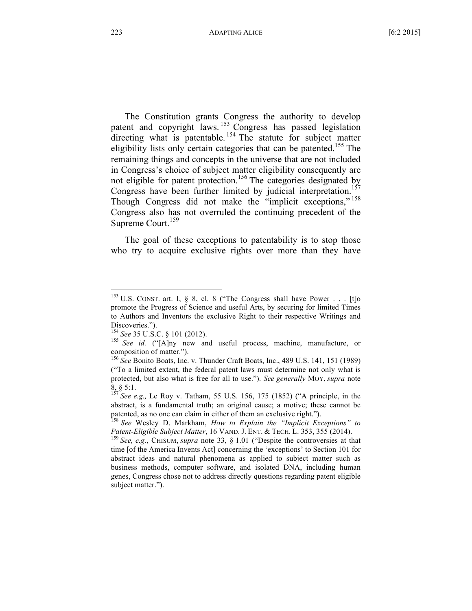The Constitution grants Congress the authority to develop patent and copyright laws.<sup>153</sup> Congress has passed legislation directing what is patentable.<sup>154</sup> The statute for subject matter eligibility lists only certain categories that can be patented.<sup>155</sup> The remaining things and concepts in the universe that are not included in Congress's choice of subject matter eligibility consequently are not eligible for patent protection.<sup>156</sup> The categories designated by Congress have been further limited by judicial interpretation.<sup>157</sup> Though Congress did not make the "implicit exceptions," <sup>158</sup> Congress also has not overruled the continuing precedent of the Supreme Court.<sup>159</sup>

The goal of these exceptions to patentability is to stop those who try to acquire exclusive rights over more than they have

<sup>&</sup>lt;sup>153</sup> U.S. CONST. art. I, § 8, cl. 8 ("The Congress shall have Power . . . [t]o promote the Progress of Science and useful Arts, by securing for limited Times to Authors and Inventors the exclusive Right to their respective Writings and

Discoveries.").<br><sup>154</sup> See 35 U.S.C. § 101 (2012).

<sup>&</sup>lt;sup>155</sup> See id. ("[A]ny new and useful process, machine, manufacture, or composition of matter.").<br><sup>156</sup> *See* Bonito Boats, Inc. v. Thunder Craft Boats, Inc., 489 U.S. 141, 151 (1989)

<sup>(&</sup>quot;To a limited extent, the federal patent laws must determine not only what is protected, but also what is free for all to use."). *See generally* MOY, *supra* note 8, § 5:1. <sup>157</sup> *See e.g.,* Le Roy v. Tatham, <sup>55</sup> U.S. 156, <sup>175</sup> (1852) ("A principle, in the

abstract, is a fundamental truth; an original cause; a motive; these cannot be

patented, as no one can claim in either of them an exclusive right."). <sup>158</sup> *See* Wesley D. Markham, *How to Explain the "Implicit Exceptions" to*

<sup>&</sup>lt;sup>159</sup> *See, e.g., CHISUM, supra* note 33, § 1.01 ("Despite the controversies at that time [of the America Invents Act] concerning the 'exceptions' to Section 101 for abstract ideas and natural phenomena as applied to subject matter such as business methods, computer software, and isolated DNA, including human genes, Congress chose not to address directly questions regarding patent eligible subject matter.").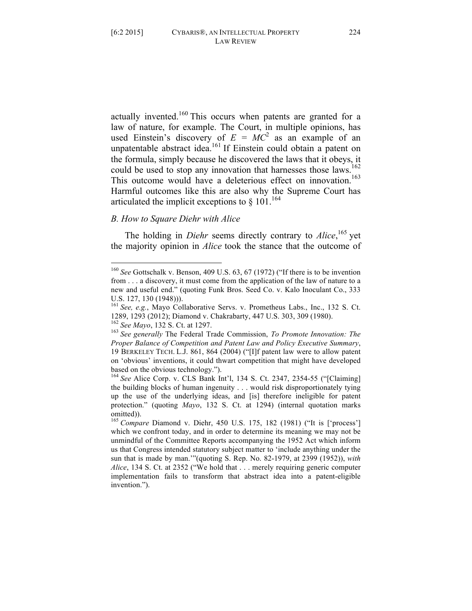actually invented.<sup>160</sup> This occurs when patents are granted for a law of nature, for example. The Court, in multiple opinions, has used Einstein's discovery of  $E = MC^2$  as an example of an unpatentable abstract idea.<sup>161</sup> If Einstein could obtain a patent on the formula, simply because he discovered the laws that it obeys, it could be used to stop any innovation that harnesses those laws.<sup>162</sup> This outcome would have a deleterious effect on innovation.<sup>163</sup>

# Harmful outcomes like this are also why the Supreme Court has articulated the implicit exceptions to  $\S 101$ .<sup>164</sup>

# *B. How to Square Diehr with Alice*

The holding in *Diehr* seems directly contrary to *Alice*, <sup>165</sup> yet the majority opinion in *Alice* took the stance that the outcome of

 <sup>160</sup> *See* Gottschalk v. Benson, <sup>409</sup> U.S. 63, <sup>67</sup> (1972) ("If there is to be invention from . . . a discovery, it must come from the application of the law of nature to a new and useful end." (quoting Funk Bros. Seed Co. v. Kalo Inoculant Co., 333

U.S. 127, 130 (1948))).<br><sup>161</sup> *See, e.g.*, Mayo Collaborative Servs. v. Prometheus Labs., Inc., 132 S. Ct.<br>1289, 1293 (2012); Diamond v. Chakrabarty, 447 U.S. 303, 309 (1980).

 $162$  See Mayo, 132 S. Ct. at 1297.<br> $163$  See generally The Federal Trade Commission, To Promote Innovation: The *Proper Balance of Competition and Patent Law and Policy Executive Summary*, 19 BERKELEY TECH. L.J. 861, 864 (2004) ("[I]f patent law were to allow patent on 'obvious' inventions, it could thwart competition that might have developed based on the obvious technology."). <sup>164</sup> *See* Alice Corp. v. CLS Bank Int'l, <sup>134</sup> S. Ct. 2347, 2354-55 ("[Claiming]

the building blocks of human ingenuity . . . would risk disproportionately tying up the use of the underlying ideas, and [is] therefore ineligible for patent protection." (quoting *Mayo*, 132 S. Ct. at 1294) (internal quotation marks omitted)).

<sup>165</sup> *Compare* Diamond v. Diehr, 450 U.S. 175, 182 (1981) ("It is ['process'] which we confront today, and in order to determine its meaning we may not be unmindful of the Committee Reports accompanying the 1952 Act which inform us that Congress intended statutory subject matter to 'include anything under the sun that is made by man.'"(quoting S. Rep. No. 82-1979, at 2399 (1952)), *with Alice*, 134 S. Ct. at 2352 ("We hold that . . . merely requiring generic computer implementation fails to transform that abstract idea into a patent-eligible invention.").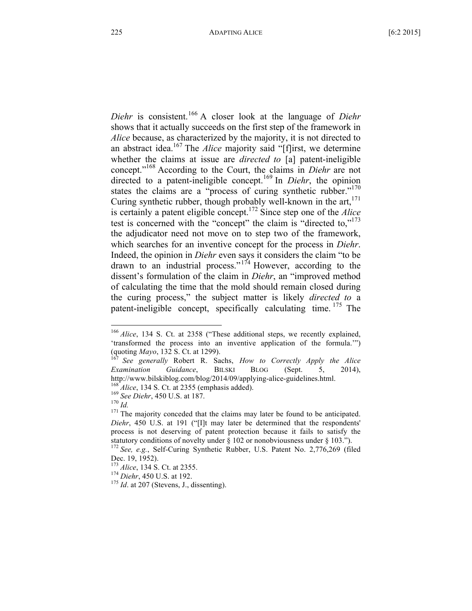*Diehr* is consistent.<sup>166</sup> A closer look at the language of *Diehr* shows that it actually succeeds on the first step of the framework in *Alice* because, as characterized by the majority, it is not directed to an abstract idea.167 The *Alice* majority said "[f]irst, we determine whether the claims at issue are *directed to* [a] patent-ineligible concept."168 According to the Court, the claims in *Diehr* are not directed to a patent-ineligible concept.<sup>169</sup> In *Diehr*, the opinion states the claims are a "process of curing synthetic rubber."<sup>170</sup> Curing synthetic rubber, though probably well-known in the  $art<sub>1</sub><sup>171</sup>$ is certainly a patent eligible concept.172 Since step one of the *Alice* test is concerned with the "concept" the claim is "directed to,"<sup>173</sup> the adjudicator need not move on to step two of the framework, which searches for an inventive concept for the process in *Diehr*. Indeed, the opinion in *Diehr* even says it considers the claim "to be drawn to an industrial process." $174$  However, according to the dissent's formulation of the claim in *Diehr*, an "improved method of calculating the time that the mold should remain closed during the curing process," the subject matter is likely *directed to* a patent-ineligible concept, specifically calculating time.  $175$  The

<sup>&</sup>lt;sup>166</sup> *Alice*, 134 S. Ct. at 2358 ("These additional steps, we recently explained, 'transformed the process into an inventive application of the formula.'") (quoting *Mayo*, <sup>132</sup> S. Ct. at 1299). <sup>167</sup> *See generally* Robert R. Sachs, *How to Correctly Apply the Alice*

*Examination Guidance*, BILSKI BLOG (Sept. 5, 2014), http://www.bilskiblog.com/blog/2014/09/applying-alice-guidelines.html.<br><sup>168</sup> *Alice*, 134 S. Ct. at 2355 (emphasis added).<br><sup>169</sup> *See Diehr*, 450 U.S. at 187.<br><sup>170</sup> *Id.*<br><sup>171</sup> The majority conceded that the claims may la

*Diehr*, 450 U.S. at 191 ("[I]t may later be determined that the respondents' process is not deserving of patent protection because it fails to satisfy the statutory conditions of novelty under § <sup>102</sup> or nonobviousness under § 103."). <sup>172</sup> *See, e.g.*, Self-Curing Synthetic Rubber, U.S. Patent No. 2,776,269 (filed

Dec. 19, 1952). <sup>173</sup> *Alice*, <sup>134</sup> S. Ct. at 2355. <sup>174</sup> *Diehr*, <sup>450</sup> U.S. at 192. <sup>175</sup> *Id*. at <sup>207</sup> (Stevens, J., dissenting).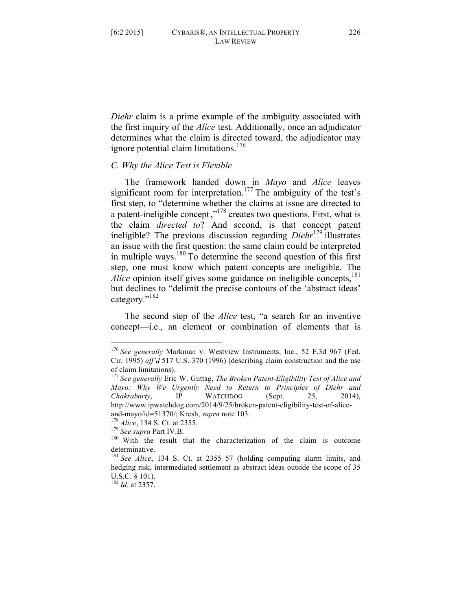*Diehr* claim is a prime example of the ambiguity associated with the first inquiry of the *Alice* test. Additionally, once an adjudicator determines what the claim is directed toward, the adjudicator may ignore potential claim limitations.<sup>176</sup>

# *C. Why the Alice Test is Flexible*

The framework handed down in *Mayo* and *Alice* leaves significant room for interpretation.<sup>177</sup> The ambiguity of the test's first step, to "determine whether the claims at issue are directed to a patent-ineligible concept ,"178 creates two questions. First, what is the claim *directed to*? And second, is that concept patent ineligible? The previous discussion regarding *Diehr*<sup>179</sup> illustrates an issue with the first question: the same claim could be interpreted in multiple ways.<sup>180</sup> To determine the second question of this first step, one must know which patent concepts are ineligible. The *Alice* opinion itself gives some guidance on ineligible concepts,<sup>181</sup> but declines to "delimit the precise contours of the 'abstract ideas' category."<sup>182</sup>

The second step of the *Alice* test, "a search for an inventive concept—i.e., an element or combination of elements that is

 <sup>176</sup> *See generally* Markman v. Westview Instruments, Inc., <sup>52</sup> F.3d <sup>967</sup> (Fed. Cir. 1995) *aff'd* 517 U.S. 370 (1996) (describing claim construction and the use of claim limitations). <sup>177</sup> *See generally* Eric W. Guttag, *The Broken Patent-Eligibility Test of Alice and*

*Mayo: Why We Urgently Need to Return to Principles of Diehr and Chakrabarty*, IP WATCHDOG (Sept. 25, 2014), http://www.ipwatchdog.com/2014/9/25/broken-patent-eligibility-test-of-alice-

and-mayo/id=51370/; Kresh, *supra* note 103.<br><sup>178</sup> *Alice*, 134 S. Ct. at 2355.<br><sup>179</sup> *See supra* Part IV.B.<br><sup>180</sup> With the result that the characterization of the claim is outcome determinative.

<sup>181</sup> *See Alice*, 134 S. Ct. at 2355–57 (holding computing alarm limits, and hedging risk, intermediated settlement as abstract ideas outside the scope of 35 U.S.C. § 101). <sup>182</sup> *Id.* at 2357.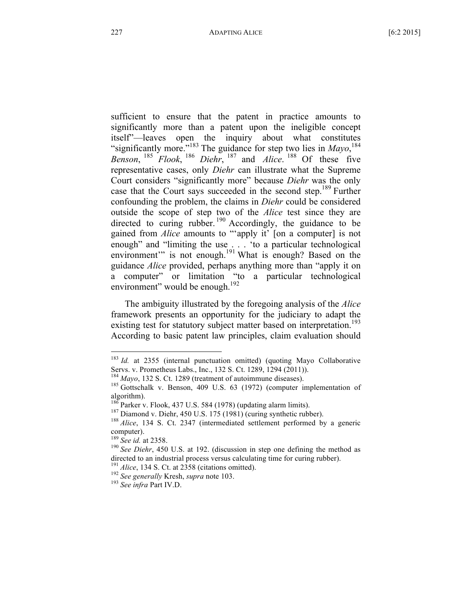sufficient to ensure that the patent in practice amounts to significantly more than a patent upon the ineligible concept itself"—leaves open the inquiry about what constitutes "significantly more."<sup>183</sup> The guidance for step two lies in  $Mayo$ ,<sup>184</sup> *Benson*, <sup>185</sup> *Flook*, <sup>186</sup> *Diehr*, <sup>187</sup> and *Alice*. <sup>188</sup> Of these five representative cases, only *Diehr* can illustrate what the Supreme Court considers "significantly more" because *Diehr* was the only case that the Court says succeeded in the second step.<sup>189</sup> Further confounding the problem, the claims in *Diehr* could be considered outside the scope of step two of the *Alice* test since they are directed to curing rubber.<sup>190</sup> Accordingly, the guidance to be gained from *Alice* amounts to "'apply it' [on a computer] is not enough" and "limiting the use . . . 'to a particular technological environment" is not enough.<sup>191</sup> What is enough? Based on the guidance *Alice* provided, perhaps anything more than "apply it on a computer" or limitation "to a particular technological environment" would be enough.<sup>192</sup>

The ambiguity illustrated by the foregoing analysis of the *Alice* framework presents an opportunity for the judiciary to adapt the existing test for statutory subject matter based on interpretation.<sup>193</sup> According to basic patent law principles, claim evaluation should

<sup>&</sup>lt;sup>183</sup> *Id.* at 2355 (internal punctuation omitted) (quoting Mayo Collaborative Servs. v. Prometheus Labs., Inc., 132 S. Ct. 1289, 1294 (2011)).

<sup>&</sup>lt;sup>184</sup> *Mayo*, 132 S. Ct. 1289 (treatment of autoimmune diseases). <sup>185</sup> Gottschalk v. Benson, 409 U.S. 63 (1972) (computer implementation of algorithm).<br><sup>186</sup> Parker v. Flook, 437 U.S. 584 (1978) (updating alarm limits).

<sup>&</sup>lt;sup>187</sup> Diamond v. Diehr, 450 U.S. 175 (1981) (curing synthetic rubber). <sup>188</sup> *Alice*, 134 S. Ct. 2347 (intermediated settlement performed by a generic computer).

<sup>&</sup>lt;sup>189</sup> *See id.* at 2358.<br><sup>190</sup> *See Diehr*, 450 U.S. at 192. (discussion in step one defining the method as directed to an industrial process versus calculating time for curing rubber).<br><sup>191</sup> *Alice*, 134 S. Ct. at 2358 (citations omitted).<br><sup>192</sup> *See generally* Kresh, *supra* note 103.<br><sup>193</sup> *See infra* Part IV.D.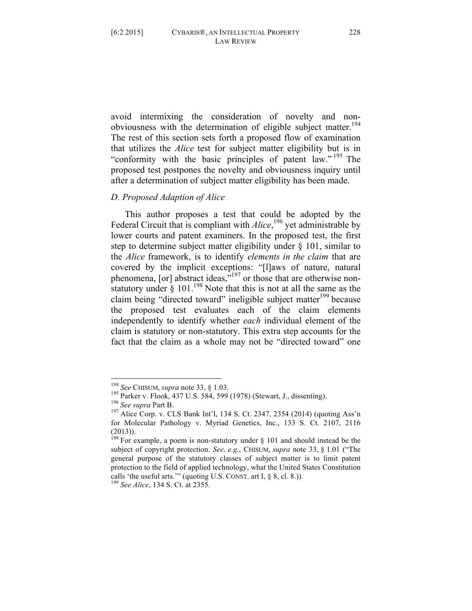avoid intermixing the consideration of novelty and nonobviousness with the determination of eligible subject matter.<sup>194</sup> The rest of this section sets forth a proposed flow of examination that utilizes the *Alice* test for subject matter eligibility but is in "conformity with the basic principles of patent law."<sup>195</sup> The proposed test postpones the novelty and obviousness inquiry until after a determination of subject matter eligibility has been made.

#### *D. Proposed Adaption of Alice*

This author proposes a test that could be adopted by the Federal Circuit that is compliant with *Alice*,<sup>196</sup> yet administrable by lower courts and patent examiners. In the proposed test, the first step to determine subject matter eligibility under § 101, similar to the *Alice* framework, is to identify *elements in the claim* that are covered by the implicit exceptions: "[l]aws of nature, natural phenomena, [or] abstract ideas,"<sup>197</sup> or those that are otherwise nonstatutory under  $\S 101$ .<sup>198</sup> Note that this is not at all the same as the claim being "directed toward" ineligible subject matter<sup>199</sup> because the proposed test evaluates each of the claim elements independently to identify whether *each* individual element of the claim is statutory or non-statutory. This extra step accounts for the fact that the claim as a whole may not be "directed toward" one

<sup>&</sup>lt;sup>194</sup> See CHISUM, *supra* note 33, § 1.03.<br><sup>195</sup> Parker v. Flook, 437 U.S. 584, 599 (1978) (Stewart, J., dissenting).<br><sup>196</sup> See *supra* Part B.<br><sup>197</sup> Alice Corp. v. CLS Bank Int'l, 134 S. Ct. 2347, 2354 (2014) (quoting As for Molecular Pathology v. Myriad Genetics, Inc., 133 S. Ct. 2107, 2116 (2013)).

<sup>&</sup>lt;sup>198</sup> For example, a poem is non-statutory under  $\S$  101 and should instead be the subject of copyright protection. *See, e.g.*, CHISUM, *supra* note 33, § 1.01 ("The general purpose of the statutory classes of subject matter is to limit patent protection to the field of applied technology, what the United States Constitution calls 'the useful arts.'" (quoting U.S. CONST. art I, § 8, cl. 8.)). <sup>199</sup> *See Alice*, <sup>134</sup> S. Ct. at 2355.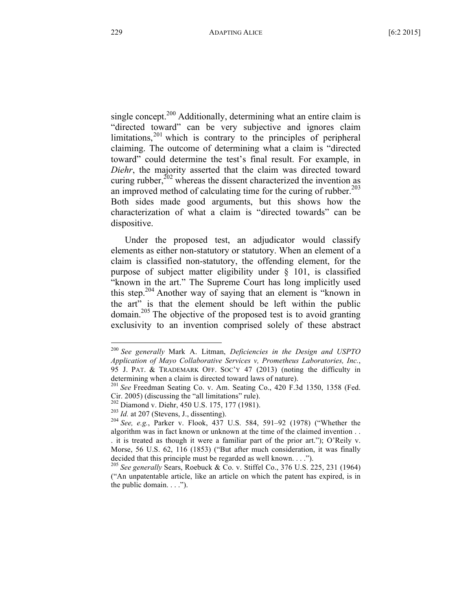single concept.<sup>200</sup> Additionally, determining what an entire claim is "directed toward" can be very subjective and ignores claim limitations, $201$  which is contrary to the principles of peripheral claiming. The outcome of determining what a claim is "directed toward" could determine the test's final result. For example, in *Diehr*, the majority asserted that the claim was directed toward curing rubber, $^{202}$  whereas the dissent characterized the invention as an improved method of calculating time for the curing of rubber. $203$ Both sides made good arguments, but this shows how the characterization of what a claim is "directed towards" can be dispositive.

Under the proposed test, an adjudicator would classify elements as either non-statutory or statutory. When an element of a claim is classified non-statutory, the offending element, for the purpose of subject matter eligibility under § 101, is classified "known in the art." The Supreme Court has long implicitly used this step.204 Another way of saying that an element is "known in the art" is that the element should be left within the public domain.205 The objective of the proposed test is to avoid granting exclusivity to an invention comprised solely of these abstract

 <sup>200</sup> *See generally* Mark A. Litman, *Deficiencies in the Design and USPTO Application of Mayo Collaborative Services v, Prometheus Laboratories, Inc.*, 95 J. PAT. & TRADEMARK OFF. SOC'Y 47 (2013) (noting the difficulty in determining when a claim is directed toward laws of nature).<br><sup>201</sup> *See* Freedman Seating Co. v. Am. Seating Co., 420 F.3d 1350, 1358 (Fed.

Cir. 2005) (discussing the "all limitations" rule).<br><sup>202</sup> Diamond v. Diehr, 450 U.S. 175, 177 (1981).<br><sup>203</sup> Id. at 207 (Stevens, J., dissenting).<br><sup>204</sup> See, e.g., Parker v. Flook, 437 U.S. 584, 591–92 (1978) ("Whether the

algorithm was in fact known or unknown at the time of the claimed invention . . . it is treated as though it were a familiar part of the prior art."); O'Reily v. Morse, 56 U.S. 62, 116 (1853) ("But after much consideration, it was finally decided that this principle must be regarded as well known. . . ."). <sup>205</sup> *See generally* Sears, Roebuck & Co. v. Stiffel Co., <sup>376</sup> U.S. 225, <sup>231</sup> (1964)

<sup>(&</sup>quot;An unpatentable article, like an article on which the patent has expired, is in the public domain.  $\ldots$ ").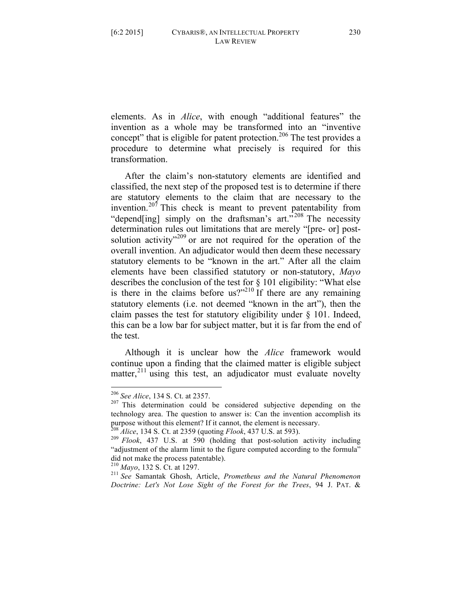elements. As in *Alice*, with enough "additional features" the invention as a whole may be transformed into an "inventive concept" that is eligible for patent protection.<sup>206</sup> The test provides a procedure to determine what precisely is required for this transformation.

After the claim's non-statutory elements are identified and classified, the next step of the proposed test is to determine if there are statutory elements to the claim that are necessary to the invention.<sup>207</sup> This check is meant to prevent patentability from "depend[ing] simply on the draftsman's art."<sup>208</sup> The necessity determination rules out limitations that are merely "[pre- or] postsolution activity<sup> $209$ </sup> or are not required for the operation of the overall invention. An adjudicator would then deem these necessary statutory elements to be "known in the art." After all the claim elements have been classified statutory or non-statutory, *Mayo* describes the conclusion of the test for § 101 eligibility: "What else is there in the claims before us?"<sup>210</sup> If there are any remaining statutory elements (i.e. not deemed "known in the art"), then the claim passes the test for statutory eligibility under § 101. Indeed, this can be a low bar for subject matter, but it is far from the end of the test.

Although it is unclear how the *Alice* framework would continue upon a finding that the claimed matter is eligible subject matter,<sup>211</sup> using this test, an adjudicator must evaluate novelty

<sup>&</sup>lt;sup>206</sup> *See Alice*, 134 S. Ct. at 2357.<br><sup>207</sup> This determination could be considered subjective depending on the technology area. The question to answer is: Can the invention accomplish its purpose without this element? If it cannot, the element is necessary.<br><sup>208</sup> *Alice*, 134 S. Ct. at 2359 (quoting *Flook*, 437 U.S. at 593).<br><sup>209</sup> *Flook*, 437 U.S. at 590 (holding that post-solution activity including

<sup>&</sup>quot;adjustment of the alarm limit to the figure computed according to the formula" did not make the process patentable). <sup>210</sup> *Mayo*, <sup>132</sup> S. Ct. at 1297. <sup>211</sup> *See* Samantak Ghosh, Article, *Prometheus and the Natural Phenomenon*

*Doctrine: Let's Not Lose Sight of the Forest for the Trees*, 94 J. PAT. &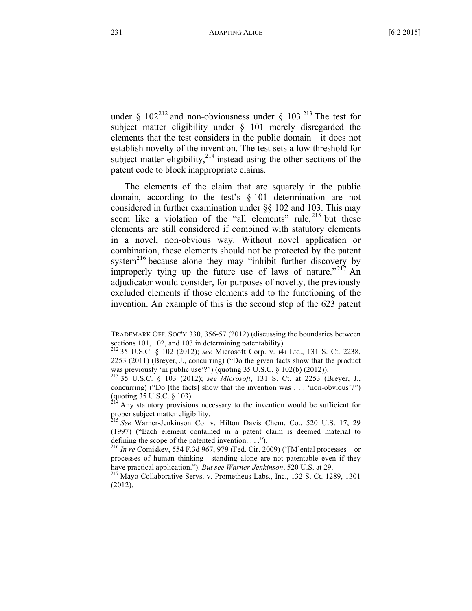under §  $102^{212}$  and non-obviousness under §  $103.^{213}$  The test for subject matter eligibility under § 101 merely disregarded the elements that the test considers in the public domain—it does not establish novelty of the invention. The test sets a low threshold for subject matter eligibility, $2^{14}$  instead using the other sections of the patent code to block inappropriate claims.

The elements of the claim that are squarely in the public domain, according to the test's § 101 determination are not considered in further examination under §§ 102 and 103. This may seem like a violation of the "all elements" rule,  $2^{15}$  but these elements are still considered if combined with statutory elements in a novel, non-obvious way. Without novel application or combination, these elements should not be protected by the patent system $^{216}$  because alone they may "inhibit further discovery by improperly tying up the future use of laws of nature."<sup>217</sup> An adjudicator would consider, for purposes of novelty, the previously excluded elements if those elements add to the functioning of the invention. An example of this is the second step of the 623 patent

TRADEMARK OFF. SOC'Y 330, 356-57 (2012) (discussing the boundaries between sections 101, 102, and <sup>103</sup> in determining patentability). <sup>212</sup> <sup>35</sup> U.S.C. § <sup>102</sup> (2012); *see* Microsoft Corp. v. i4i Ltd., <sup>131</sup> S. Ct. 2238,

<sup>2253</sup> (2011) (Breyer, J., concurring) ("Do the given facts show that the product was previously 'in public use'?") (quoting <sup>35</sup> U.S.C. § 102(b) (2012)). <sup>213</sup> <sup>35</sup> U.S.C. § <sup>103</sup> (2012); *see Microsoft*, <sup>131</sup> S. Ct. at <sup>2253</sup> (Breyer, J.,

concurring) ("Do [the facts] show that the invention was . . . 'non-obvious'?") (quoting 35 U.S.C. § 103).

 $<sup>4</sup>$  Any statutory provisions necessary to the invention would be sufficient for</sup> proper subject matter eligibility. <sup>215</sup> *See* Warner-Jenkinson Co. v. Hilton Davis Chem. Co., <sup>520</sup> U.S. 17, <sup>29</sup>

<sup>(1997)</sup> ("Each element contained in a patent claim is deemed material to defining the scope of the patented invention. . . .").<br><sup>216</sup> *In re* Comiskey, 554 F.3d 967, 979 (Fed. Cir. 2009) ("[M]ental processes—or

processes of human thinking—standing alone are not patentable even if they have practical application."). *But see Warner-Jenkinson*, <sup>520</sup> U.S. at 29. <sup>217</sup> Mayo Collaborative Servs. v. Prometheus Labs., Inc., <sup>132</sup> S. Ct. 1289, <sup>1301</sup>

<sup>(2012).</sup>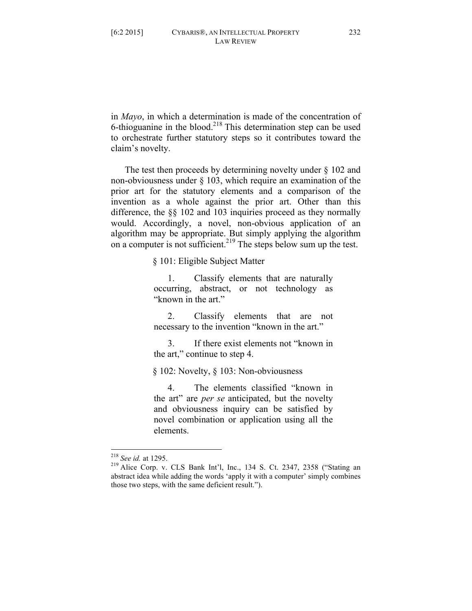in *Mayo*, in which a determination is made of the concentration of 6-thioguanine in the blood.<sup>218</sup> This determination step can be used to orchestrate further statutory steps so it contributes toward the claim's novelty.

The test then proceeds by determining novelty under  $\S$  102 and non-obviousness under § 103, which require an examination of the prior art for the statutory elements and a comparison of the invention as a whole against the prior art. Other than this difference, the §§ 102 and 103 inquiries proceed as they normally would. Accordingly, a novel, non-obvious application of an algorithm may be appropriate. But simply applying the algorithm on a computer is not sufficient.<sup>219</sup> The steps below sum up the test.

§ 101: Eligible Subject Matter

1. Classify elements that are naturally occurring, abstract, or not technology as "known in the art."

2. Classify elements that are not necessary to the invention "known in the art."

3. If there exist elements not "known in the art," continue to step 4.

§ 102: Novelty, § 103: Non-obviousness

4. The elements classified "known in the art" are *per se* anticipated, but the novelty and obviousness inquiry can be satisfied by novel combination or application using all the elements.

<sup>218</sup> *See id.* at 1295. <sup>219</sup> Alice Corp. v. CLS Bank Int'l, Inc., <sup>134</sup> S. Ct. 2347, <sup>2358</sup> ("Stating an abstract idea while adding the words 'apply it with a computer' simply combines those two steps, with the same deficient result.").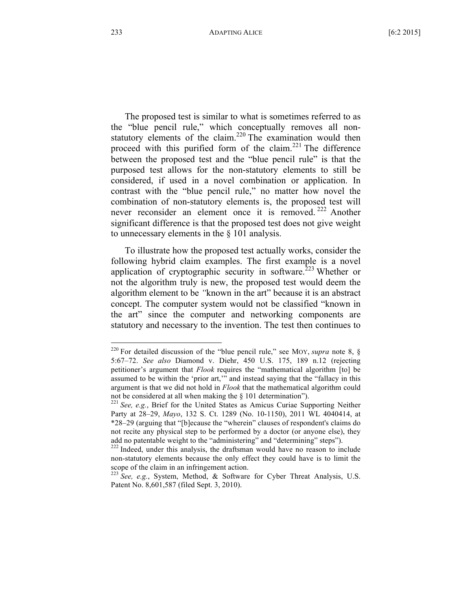The proposed test is similar to what is sometimes referred to as the "blue pencil rule," which conceptually removes all nonstatutory elements of the claim.<sup>220</sup> The examination would then proceed with this purified form of the claim.<sup>221</sup> The difference between the proposed test and the "blue pencil rule" is that the purposed test allows for the non-statutory elements to still be considered, if used in a novel combination or application. In contrast with the "blue pencil rule," no matter how novel the combination of non-statutory elements is, the proposed test will never reconsider an element once it is removed.<sup>222</sup> Another significant difference is that the proposed test does not give weight to unnecessary elements in the § 101 analysis.

To illustrate how the proposed test actually works, consider the following hybrid claim examples. The first example is a novel application of cryptographic security in software.<sup>223</sup> Whether or not the algorithm truly is new, the proposed test would deem the algorithm element to be *"*known in the art" because it is an abstract concept. The computer system would not be classified "known in the art" since the computer and networking components are statutory and necessary to the invention. The test then continues to

<sup>&</sup>lt;sup>220</sup> For detailed discussion of the "blue pencil rule," see MOY, *supra* note 8,  $\S$ 5:67–72. *See also* Diamond v. Diehr, 450 U.S. 175, 189 n.12 (rejecting petitioner's argument that *Flook* requires the "mathematical algorithm [to] be assumed to be within the 'prior art,'" and instead saying that the "fallacy in this argument is that we did not hold in *Flook* that the mathematical algorithm could not be considered at all when making the § <sup>101</sup> determination"). <sup>221</sup> *See, e.g.*, Brief for the United States as Amicus Curiae Supporting Neither

Party at 28–29, *Mayo*, 132 S. Ct. 1289 (No. 10-1150), 2011 WL 4040414, at \*28–29 (arguing that "[b]ecause the "wherein" clauses of respondent's claims do not recite any physical step to be performed by a doctor (or anyone else), they add no patentable weight to the "administering" and "determining" steps").<br><sup>222</sup> Indeed, under this analysis, the draftsman would have no reason to include

non-statutory elements because the only effect they could have is to limit the scope of the claim in an infringement action. <sup>223</sup> *See, e.g.*, System, Method, & Software for Cyber Threat Analysis, U.S.

Patent No. 8,601,587 (filed Sept. 3, 2010).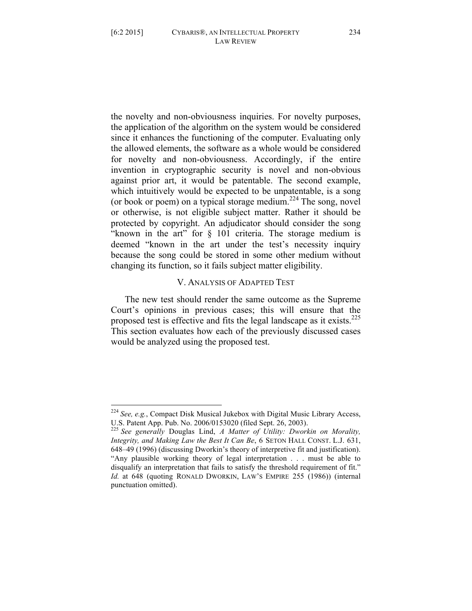the novelty and non-obviousness inquiries. For novelty purposes, the application of the algorithm on the system would be considered since it enhances the functioning of the computer. Evaluating only the allowed elements, the software as a whole would be considered for novelty and non-obviousness. Accordingly, if the entire invention in cryptographic security is novel and non-obvious against prior art, it would be patentable. The second example, which intuitively would be expected to be unpatentable, is a song (or book or poem) on a typical storage medium.<sup>224</sup> The song, novel or otherwise, is not eligible subject matter. Rather it should be protected by copyright. An adjudicator should consider the song "known in the art" for § 101 criteria. The storage medium is deemed "known in the art under the test's necessity inquiry because the song could be stored in some other medium without changing its function, so it fails subject matter eligibility.

# V. ANALYSIS OF ADAPTED TEST

The new test should render the same outcome as the Supreme Court's opinions in previous cases; this will ensure that the proposed test is effective and fits the legal landscape as it exists.<sup>225</sup> This section evaluates how each of the previously discussed cases would be analyzed using the proposed test.

 <sup>224</sup> *See, e.g.*, Compact Disk Musical Jukebox with Digital Music Library Access, U.S. Patent App. Pub. No. 2006/0153020 (filed Sept. 26, 2003). <sup>225</sup> *See generally* Douglas Lind, *<sup>A</sup> Matter of Utility: Dworkin on Morality,*

*Integrity, and Making Law the Best It Can Be*, 6 SETON HALL CONST. L.J. 631, 648–49 (1996) (discussing Dworkin's theory of interpretive fit and justification). "Any plausible working theory of legal interpretation . . . must be able to disqualify an interpretation that fails to satisfy the threshold requirement of fit." *Id.* at 648 (quoting RONALD DWORKIN, LAW'S EMPIRE 255 (1986)) (internal punctuation omitted).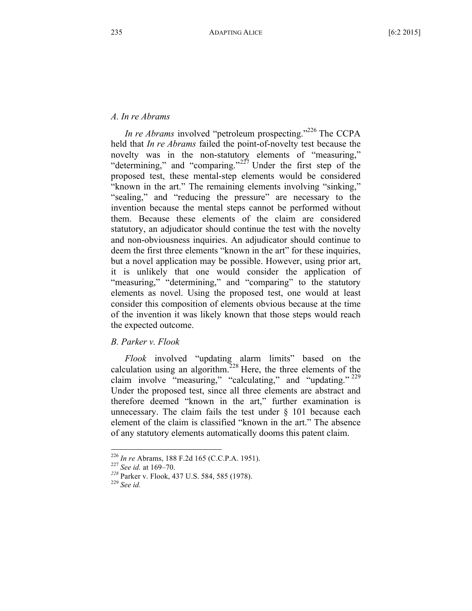# *A. In re Abrams*

*In re Abrams* involved "petroleum prospecting."<sup>226</sup> The CCPA held that *In re Abrams* failed the point-of-novelty test because the novelty was in the non-statutory elements of "measuring," "determining," and "comparing."<sup>227</sup> Under the first step of the proposed test, these mental-step elements would be considered "known in the art." The remaining elements involving "sinking," "sealing," and "reducing the pressure" are necessary to the invention because the mental steps cannot be performed without them. Because these elements of the claim are considered statutory, an adjudicator should continue the test with the novelty and non-obviousness inquiries. An adjudicator should continue to deem the first three elements "known in the art" for these inquiries, but a novel application may be possible. However, using prior art, it is unlikely that one would consider the application of "measuring," "determining," and "comparing" to the statutory elements as novel. Using the proposed test, one would at least consider this composition of elements obvious because at the time of the invention it was likely known that those steps would reach the expected outcome.

# *B. Parker v. Flook*

*Flook* involved "updating alarm limits" based on the calculation using an algorithm.<sup>228</sup> Here, the three elements of the claim involve "measuring," "calculating," and "updating." <sup>229</sup> Under the proposed test, since all three elements are abstract and therefore deemed "known in the art," further examination is unnecessary. The claim fails the test under  $\S$  101 because each element of the claim is classified "known in the art." The absence of any statutory elements automatically dooms this patent claim.

<sup>226</sup> *In re* Abrams, <sup>188</sup> F.2d <sup>165</sup> (C.C.P.A. 1951). <sup>227</sup> *See id.* at 169–70. *<sup>228</sup>* Parker v. Flook, <sup>437</sup> U.S. 584, <sup>585</sup> (1978). <sup>229</sup> *See id.*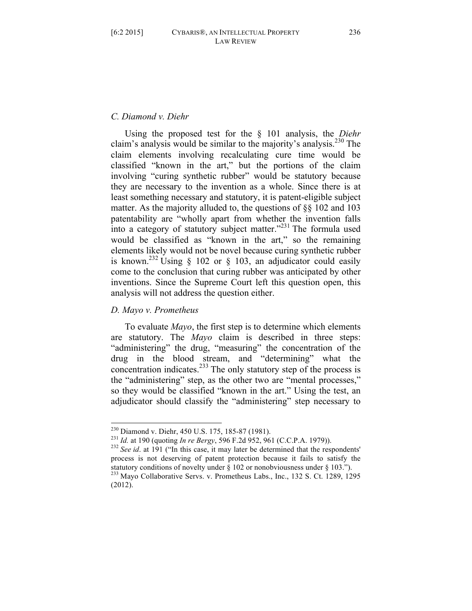# *C. Diamond v. Diehr*

Using the proposed test for the § 101 analysis, the *Diehr* claim's analysis would be similar to the majority's analysis.<sup>230</sup> The claim elements involving recalculating cure time would be classified "known in the art," but the portions of the claim involving "curing synthetic rubber" would be statutory because they are necessary to the invention as a whole. Since there is at least something necessary and statutory, it is patent-eligible subject matter. As the majority alluded to, the questions of §§ 102 and 103 patentability are "wholly apart from whether the invention falls into a category of statutory subject matter."<sup>231</sup> The formula used would be classified as "known in the art," so the remaining elements likely would not be novel because curing synthetic rubber is known.<sup>232</sup> Using § 102 or § 103, an adjudicator could easily come to the conclusion that curing rubber was anticipated by other inventions. Since the Supreme Court left this question open, this analysis will not address the question either.

# *D. Mayo v. Prometheus*

To evaluate *Mayo*, the first step is to determine which elements are statutory. The *Mayo* claim is described in three steps: "administering" the drug, "measuring" the concentration of the drug in the blood stream, and "determining" what the concentration indicates.<sup>233</sup> The only statutory step of the process is the "administering" step, as the other two are "mental processes," so they would be classified "known in the art." Using the test, an adjudicator should classify the "administering" step necessary to

<sup>&</sup>lt;sup>230</sup> Diamond v. Diehr, 450 U.S. 175, 185-87 (1981).<br><sup>231</sup> *Id.* at 190 (quoting *In re Bergy*, 596 F.2d 952, 961 (C.C.P.A. 1979)).<br><sup>232</sup> *See id.* at 191 ("In this case, it may later be determined that the respondents" process is not deserving of patent protection because it fails to satisfy the statutory conditions of novelty under § 102 or nonobviousness under § 103.").<br><sup>233</sup> Mayo Collaborative Servs. v. Prometheus Labs., Inc., 132 S. Ct. 1289, 1295

<sup>(2012).</sup>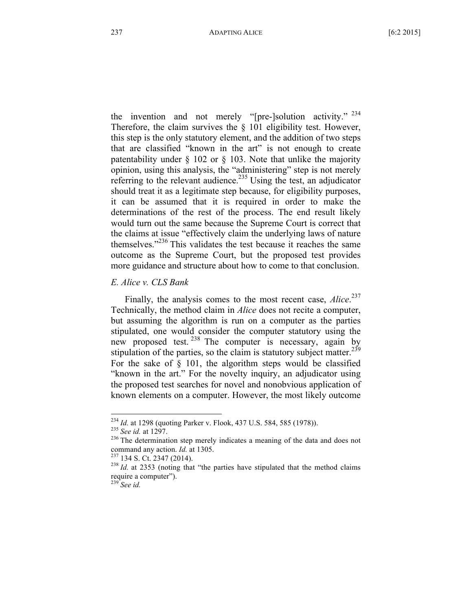the invention and not merely "[pre-]solution activity." <sup>234</sup> Therefore, the claim survives the § 101 eligibility test. However, this step is the only statutory element, and the addition of two steps that are classified "known in the art" is not enough to create patentability under § 102 or § 103. Note that unlike the majority opinion, using this analysis, the "administering" step is not merely referring to the relevant audience.<sup>235</sup> Using the test, an adjudicator should treat it as a legitimate step because, for eligibility purposes, it can be assumed that it is required in order to make the determinations of the rest of the process. The end result likely would turn out the same because the Supreme Court is correct that the claims at issue "effectively claim the underlying laws of nature themselves."<sup>236</sup> This validates the test because it reaches the same outcome as the Supreme Court, but the proposed test provides more guidance and structure about how to come to that conclusion.

# *E. Alice v. CLS Bank*

Finally, the analysis comes to the most recent case, *Alice*. 237 Technically, the method claim in *Alice* does not recite a computer, but assuming the algorithm is run on a computer as the parties stipulated, one would consider the computer statutory using the new proposed test. <sup>238</sup> The computer is necessary, again by stipulation of the parties, so the claim is statutory subject matter.<sup>239</sup> For the sake of  $\S$  101, the algorithm steps would be classified "known in the art." For the novelty inquiry, an adjudicator using the proposed test searches for novel and nonobvious application of known elements on a computer. However, the most likely outcome

<sup>234</sup> *Id.* at <sup>1298</sup> (quoting Parker v. Flook, <sup>437</sup> U.S. 584, <sup>585</sup> (1978)). <sup>235</sup> *See id.* at 1297. <sup>236</sup> The determination step merely indicates <sup>a</sup> meaning of the data and does not command any action. *Id.* at 1305.<br><sup>237</sup> 134 S. Ct. 2347 (2014).<br><sup>238</sup> *Id.* at 2353 (noting that "the parties have stipulated that the method claims

require <sup>a</sup> computer"). <sup>239</sup> *See id.*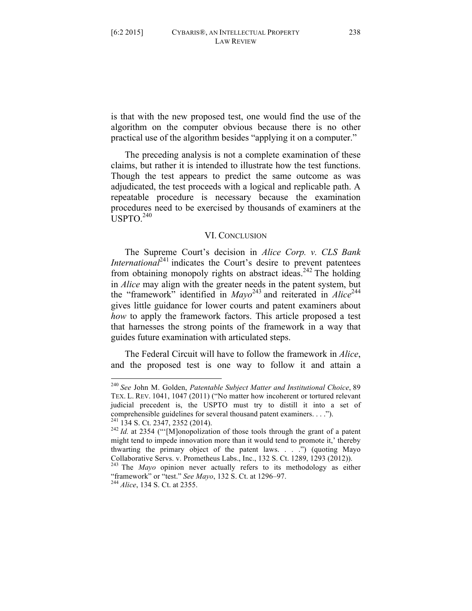is that with the new proposed test, one would find the use of the algorithm on the computer obvious because there is no other practical use of the algorithm besides "applying it on a computer."

The preceding analysis is not a complete examination of these claims, but rather it is intended to illustrate how the test functions. Though the test appears to predict the same outcome as was adjudicated, the test proceeds with a logical and replicable path. A repeatable procedure is necessary because the examination procedures need to be exercised by thousands of examiners at the  $\overline{U}$ SPTO<sup>240</sup>

# VI. CONCLUSION

The Supreme Court's decision in *Alice Corp. v. CLS Bank International*<sup>241</sup> indicates the Court's desire to prevent patentees from obtaining monopoly rights on abstract ideas.<sup>242</sup> The holding in *Alice* may align with the greater needs in the patent system, but the "framework" identified in *Mayo*<sup>243</sup> and reiterated in *Alice*<sup>244</sup> gives little guidance for lower courts and patent examiners about *how* to apply the framework factors. This article proposed a test that harnesses the strong points of the framework in a way that guides future examination with articulated steps.

The Federal Circuit will have to follow the framework in *Alice*, and the proposed test is one way to follow it and attain a

 <sup>240</sup> *See* John M. Golden, *Patentable Subject Matter and Institutional Choice*, <sup>89</sup> TEX. L. REV. 1041, 1047 (2011) ("No matter how incoherent or tortured relevant judicial precedent is, the USPTO must try to distill it into a set of comprehensible guidelines for several thousand patent examiners. . . ."). <sup>241</sup> <sup>134</sup> S. Ct. 2347, <sup>2352</sup> (2014). <sup>242</sup> *Id.* at <sup>2354</sup> ("'[M]onopolization of those tools through the grant of <sup>a</sup> patent

might tend to impede innovation more than it would tend to promote it,' thereby thwarting the primary object of the patent laws. . . .") (quoting Mayo Collaborative Servs. v. Prometheus Labs., Inc., <sup>132</sup> S. Ct. 1289, <sup>1293</sup> (2012)). <sup>243</sup> The *Mayo* opinion never actually refers to its methodology as either

<sup>&</sup>quot;framework" or "test." *See Mayo*, <sup>132</sup> S. Ct. at 1296–97. <sup>244</sup> *Alice*, <sup>134</sup> S. Ct. at 2355.